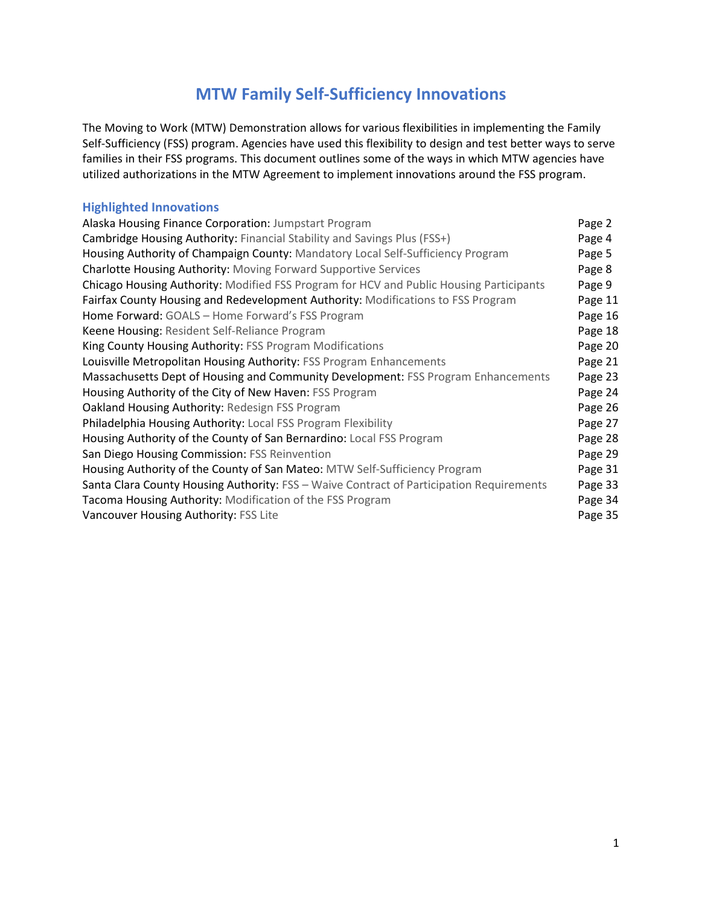# **MTW Family Self-Sufficiency Innovations**

The Moving to Work (MTW) Demonstration allows for various flexibilities in implementing the Family Self-Sufficiency (FSS) program. Agencies have used this flexibility to design and test better ways to serve families in their FSS programs. This document outlines some of the ways in which MTW agencies have utilized authorizations in the MTW Agreement to implement innovations around the FSS program.

## **Highlighted Innovations**

| Alaska Housing Finance Corporation: Jumpstart Program                                    | Page 2  |
|------------------------------------------------------------------------------------------|---------|
| Cambridge Housing Authority: Financial Stability and Savings Plus (FSS+)                 | Page 4  |
| Housing Authority of Champaign County: Mandatory Local Self-Sufficiency Program          | Page 5  |
| Charlotte Housing Authority: Moving Forward Supportive Services                          | Page 8  |
| Chicago Housing Authority: Modified FSS Program for HCV and Public Housing Participants  | Page 9  |
| Fairfax County Housing and Redevelopment Authority: Modifications to FSS Program         | Page 11 |
| Home Forward: GOALS - Home Forward's FSS Program                                         | Page 16 |
| Keene Housing: Resident Self-Reliance Program                                            | Page 18 |
| King County Housing Authority: FSS Program Modifications                                 | Page 20 |
| Louisville Metropolitan Housing Authority: FSS Program Enhancements                      | Page 21 |
| Massachusetts Dept of Housing and Community Development: FSS Program Enhancements        | Page 23 |
| Housing Authority of the City of New Haven: FSS Program                                  | Page 24 |
| Oakland Housing Authority: Redesign FSS Program                                          | Page 26 |
| Philadelphia Housing Authority: Local FSS Program Flexibility                            | Page 27 |
| Housing Authority of the County of San Bernardino: Local FSS Program                     | Page 28 |
| San Diego Housing Commission: FSS Reinvention                                            | Page 29 |
| Housing Authority of the County of San Mateo: MTW Self-Sufficiency Program               | Page 31 |
| Santa Clara County Housing Authority: FSS - Waive Contract of Participation Requirements | Page 33 |
| Tacoma Housing Authority: Modification of the FSS Program                                | Page 34 |
| Vancouver Housing Authority: FSS Lite                                                    | Page 35 |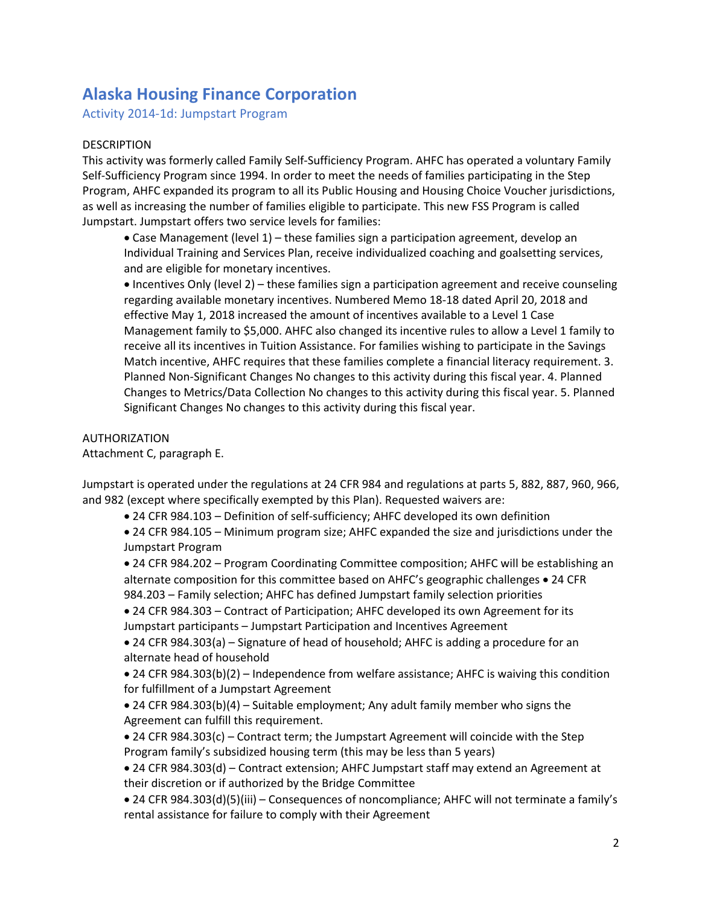# **Alaska Housing Finance Corporation**

Activity 2014-1d: Jumpstart Program

#### DESCRIPTION

This activity was formerly called Family Self-Sufficiency Program. AHFC has operated a voluntary Family Self-Sufficiency Program since 1994. In order to meet the needs of families participating in the Step Program, AHFC expanded its program to all its Public Housing and Housing Choice Voucher jurisdictions, as well as increasing the number of families eligible to participate. This new FSS Program is called Jumpstart. Jumpstart offers two service levels for families:

 Case Management (level 1) – these families sign a participation agreement, develop an Individual Training and Services Plan, receive individualized coaching and goalsetting services, and are eligible for monetary incentives.

• Incentives Only (level 2) – these families sign a participation agreement and receive counseling regarding available monetary incentives. Numbered Memo 18-18 dated April 20, 2018 and effective May 1, 2018 increased the amount of incentives available to a Level 1 Case Management family to \$5,000. AHFC also changed its incentive rules to allow a Level 1 family to receive all its incentives in Tuition Assistance. For families wishing to participate in the Savings Match incentive, AHFC requires that these families complete a financial literacy requirement. 3. Planned Non-Significant Changes No changes to this activity during this fiscal year. 4. Planned Changes to Metrics/Data Collection No changes to this activity during this fiscal year. 5. Planned Significant Changes No changes to this activity during this fiscal year.

#### AUTHORIZATION

Attachment C, paragraph E.

Jumpstart is operated under the regulations at 24 CFR 984 and regulations at parts 5, 882, 887, 960, 966, and 982 (except where specifically exempted by this Plan). Requested waivers are:

24 CFR 984.103 – Definition of self-sufficiency; AHFC developed its own definition

 24 CFR 984.105 – Minimum program size; AHFC expanded the size and jurisdictions under the Jumpstart Program

 24 CFR 984.202 – Program Coordinating Committee composition; AHFC will be establishing an alternate composition for this committee based on AHFC's geographic challenges • 24 CFR 984.203 – Family selection; AHFC has defined Jumpstart family selection priorities

 24 CFR 984.303 – Contract of Participation; AHFC developed its own Agreement for its Jumpstart participants – Jumpstart Participation and Incentives Agreement

 24 CFR 984.303(a) – Signature of head of household; AHFC is adding a procedure for an alternate head of household

 24 CFR 984.303(b)(2) – Independence from welfare assistance; AHFC is waiving this condition for fulfillment of a Jumpstart Agreement

 24 CFR 984.303(b)(4) – Suitable employment; Any adult family member who signs the Agreement can fulfill this requirement.

 24 CFR 984.303(c) – Contract term; the Jumpstart Agreement will coincide with the Step Program family's subsidized housing term (this may be less than 5 years)

 24 CFR 984.303(d) – Contract extension; AHFC Jumpstart staff may extend an Agreement at their discretion or if authorized by the Bridge Committee

 24 CFR 984.303(d)(5)(iii) – Consequences of noncompliance; AHFC will not terminate a family's rental assistance for failure to comply with their Agreement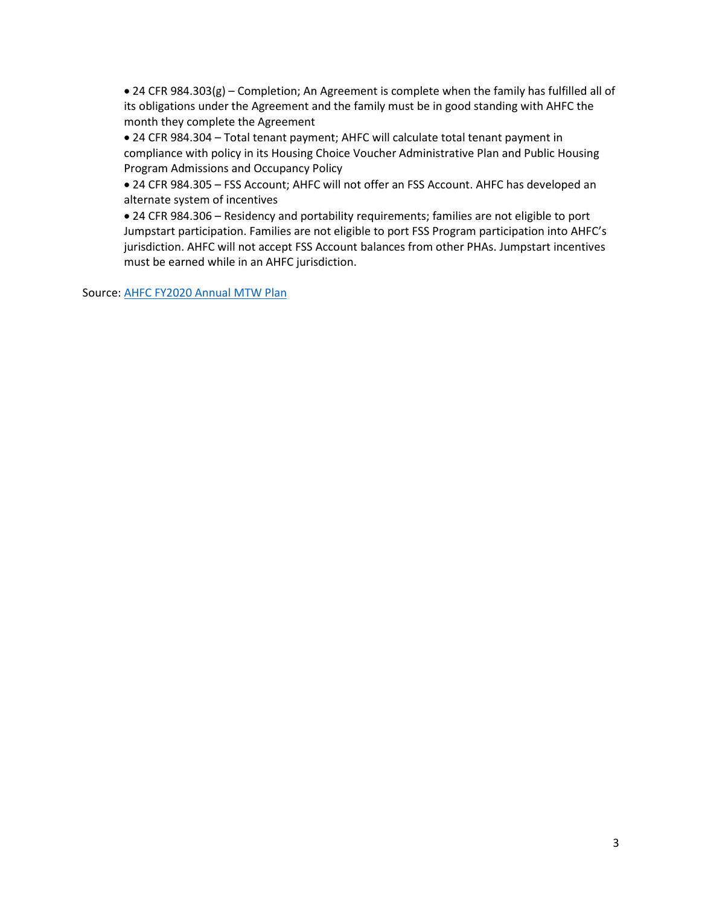24 CFR 984.303(g) – Completion; An Agreement is complete when the family has fulfilled all of its obligations under the Agreement and the family must be in good standing with AHFC the month they complete the Agreement

 24 CFR 984.304 – Total tenant payment; AHFC will calculate total tenant payment in compliance with policy in its Housing Choice Voucher Administrative Plan and Public Housing Program Admissions and Occupancy Policy

 24 CFR 984.305 – FSS Account; AHFC will not offer an FSS Account. AHFC has developed an alternate system of incentives

 24 CFR 984.306 – Residency and portability requirements; families are not eligible to port Jumpstart participation. Families are not eligible to port FSS Program participation into AHFC's jurisdiction. AHFC will not accept FSS Account balances from other PHAs. Jumpstart incentives must be earned while in an AHFC jurisdiction.

Source: [AHFC FY2020 Annual MTW Plan](https://www.hud.gov/sites/dfiles/PIH/documents/AlaskaFY20Plan.pdf)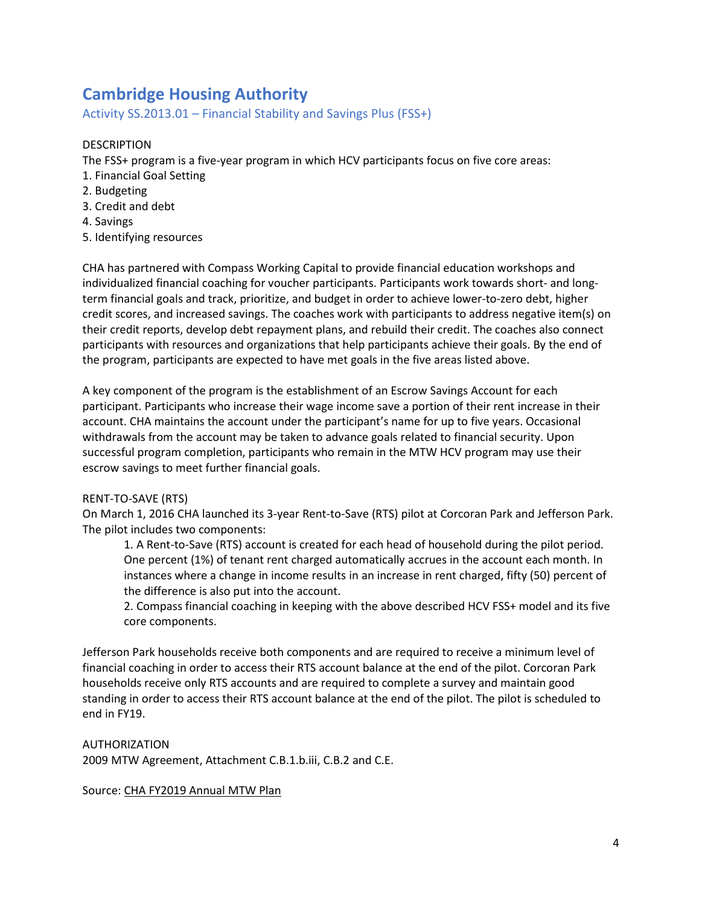# **Cambridge Housing Authority**

Activity SS.2013.01 – Financial Stability and Savings Plus (FSS+)

## DESCRIPTION

The FSS+ program is a five-year program in which HCV participants focus on five core areas:

- 1. Financial Goal Setting
- 2. Budgeting
- 3. Credit and debt
- 4. Savings
- 5. Identifying resources

CHA has partnered with Compass Working Capital to provide financial education workshops and individualized financial coaching for voucher participants. Participants work towards short- and longterm financial goals and track, prioritize, and budget in order to achieve lower-to-zero debt, higher credit scores, and increased savings. The coaches work with participants to address negative item(s) on their credit reports, develop debt repayment plans, and rebuild their credit. The coaches also connect participants with resources and organizations that help participants achieve their goals. By the end of the program, participants are expected to have met goals in the five areas listed above.

A key component of the program is the establishment of an Escrow Savings Account for each participant. Participants who increase their wage income save a portion of their rent increase in their account. CHA maintains the account under the participant's name for up to five years. Occasional withdrawals from the account may be taken to advance goals related to financial security. Upon successful program completion, participants who remain in the MTW HCV program may use their escrow savings to meet further financial goals.

#### RENT-TO-SAVE (RTS)

On March 1, 2016 CHA launched its 3-year Rent-to-Save (RTS) pilot at Corcoran Park and Jefferson Park. The pilot includes two components:

1. A Rent-to-Save (RTS) account is created for each head of household during the pilot period. One percent (1%) of tenant rent charged automatically accrues in the account each month. In instances where a change in income results in an increase in rent charged, fifty (50) percent of the difference is also put into the account.

2. Compass financial coaching in keeping with the above described HCV FSS+ model and its five core components.

Jefferson Park households receive both components and are required to receive a minimum level of financial coaching in order to access their RTS account balance at the end of the pilot. Corcoran Park households receive only RTS accounts and are required to complete a survey and maintain good standing in order to access their RTS account balance at the end of the pilot. The pilot is scheduled to end in FY19.

#### AUTHORIZATION

2009 MTW Agreement, Attachment C.B.1.b.iii, C.B.2 and C.E.

Source: [CHA FY2019 Annual MTW Plan](https://www.hud.gov/sites/dfiles/PIH/documents/CAMBRIDGEFY19Plan.pdf)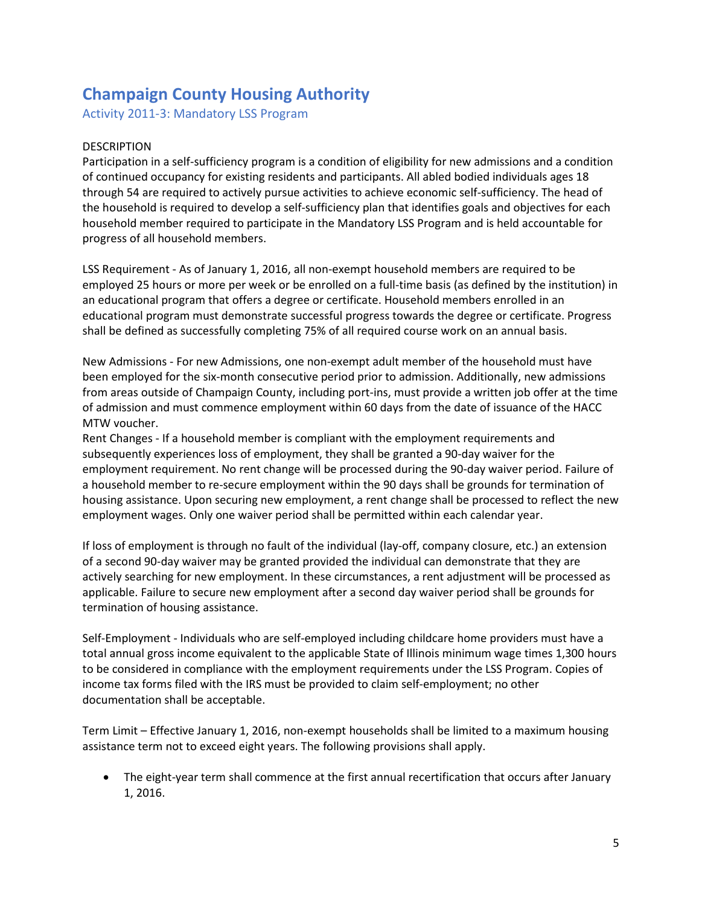# **Champaign County Housing Authority**

Activity 2011-3: Mandatory LSS Program

### DESCRIPTION

Participation in a self-sufficiency program is a condition of eligibility for new admissions and a condition of continued occupancy for existing residents and participants. All abled bodied individuals ages 18 through 54 are required to actively pursue activities to achieve economic self-sufficiency. The head of the household is required to develop a self-sufficiency plan that identifies goals and objectives for each household member required to participate in the Mandatory LSS Program and is held accountable for progress of all household members.

LSS Requirement - As of January 1, 2016, all non-exempt household members are required to be employed 25 hours or more per week or be enrolled on a full-time basis (as defined by the institution) in an educational program that offers a degree or certificate. Household members enrolled in an educational program must demonstrate successful progress towards the degree or certificate. Progress shall be defined as successfully completing 75% of all required course work on an annual basis.

New Admissions - For new Admissions, one non-exempt adult member of the household must have been employed for the six-month consecutive period prior to admission. Additionally, new admissions from areas outside of Champaign County, including port-ins, must provide a written job offer at the time of admission and must commence employment within 60 days from the date of issuance of the HACC MTW voucher.

Rent Changes - If a household member is compliant with the employment requirements and subsequently experiences loss of employment, they shall be granted a 90-day waiver for the employment requirement. No rent change will be processed during the 90-day waiver period. Failure of a household member to re-secure employment within the 90 days shall be grounds for termination of housing assistance. Upon securing new employment, a rent change shall be processed to reflect the new employment wages. Only one waiver period shall be permitted within each calendar year.

If loss of employment is through no fault of the individual (lay-off, company closure, etc.) an extension of a second 90-day waiver may be granted provided the individual can demonstrate that they are actively searching for new employment. In these circumstances, a rent adjustment will be processed as applicable. Failure to secure new employment after a second day waiver period shall be grounds for termination of housing assistance.

Self-Employment - Individuals who are self-employed including childcare home providers must have a total annual gross income equivalent to the applicable State of Illinois minimum wage times 1,300 hours to be considered in compliance with the employment requirements under the LSS Program. Copies of income tax forms filed with the IRS must be provided to claim self-employment; no other documentation shall be acceptable.

Term Limit – Effective January 1, 2016, non-exempt households shall be limited to a maximum housing assistance term not to exceed eight years. The following provisions shall apply.

 The eight-year term shall commence at the first annual recertification that occurs after January 1, 2016.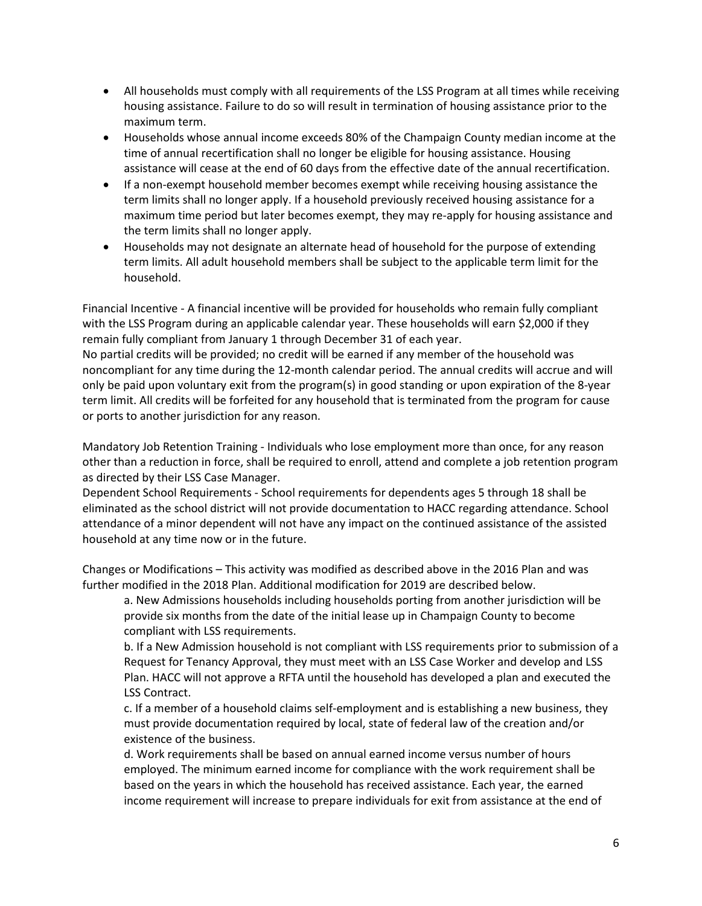- All households must comply with all requirements of the LSS Program at all times while receiving housing assistance. Failure to do so will result in termination of housing assistance prior to the maximum term.
- Households whose annual income exceeds 80% of the Champaign County median income at the time of annual recertification shall no longer be eligible for housing assistance. Housing assistance will cease at the end of 60 days from the effective date of the annual recertification.
- If a non-exempt household member becomes exempt while receiving housing assistance the term limits shall no longer apply. If a household previously received housing assistance for a maximum time period but later becomes exempt, they may re-apply for housing assistance and the term limits shall no longer apply.
- Households may not designate an alternate head of household for the purpose of extending term limits. All adult household members shall be subject to the applicable term limit for the household.

Financial Incentive - A financial incentive will be provided for households who remain fully compliant with the LSS Program during an applicable calendar year. These households will earn \$2,000 if they remain fully compliant from January 1 through December 31 of each year.

No partial credits will be provided; no credit will be earned if any member of the household was noncompliant for any time during the 12-month calendar period. The annual credits will accrue and will only be paid upon voluntary exit from the program(s) in good standing or upon expiration of the 8-year term limit. All credits will be forfeited for any household that is terminated from the program for cause or ports to another jurisdiction for any reason.

Mandatory Job Retention Training - Individuals who lose employment more than once, for any reason other than a reduction in force, shall be required to enroll, attend and complete a job retention program as directed by their LSS Case Manager.

Dependent School Requirements - School requirements for dependents ages 5 through 18 shall be eliminated as the school district will not provide documentation to HACC regarding attendance. School attendance of a minor dependent will not have any impact on the continued assistance of the assisted household at any time now or in the future.

Changes or Modifications – This activity was modified as described above in the 2016 Plan and was further modified in the 2018 Plan. Additional modification for 2019 are described below.

a. New Admissions households including households porting from another jurisdiction will be provide six months from the date of the initial lease up in Champaign County to become compliant with LSS requirements.

b. If a New Admission household is not compliant with LSS requirements prior to submission of a Request for Tenancy Approval, they must meet with an LSS Case Worker and develop and LSS Plan. HACC will not approve a RFTA until the household has developed a plan and executed the LSS Contract.

c. If a member of a household claims self-employment and is establishing a new business, they must provide documentation required by local, state of federal law of the creation and/or existence of the business.

d. Work requirements shall be based on annual earned income versus number of hours employed. The minimum earned income for compliance with the work requirement shall be based on the years in which the household has received assistance. Each year, the earned income requirement will increase to prepare individuals for exit from assistance at the end of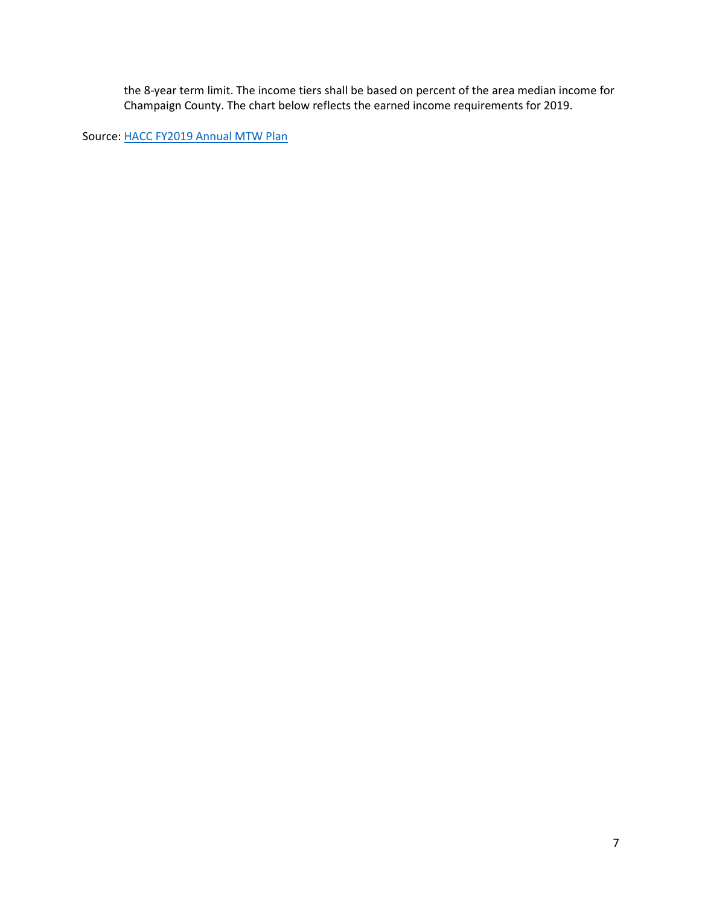the 8-year term limit. The income tiers shall be based on percent of the area median income for Champaign County. The chart below reflects the earned income requirements for 2019.

Source: [HACC FY2019 Annual MTW Plan](https://www.hud.gov/sites/dfiles/PIH/documents/ChampaignFY19Plan.pdf)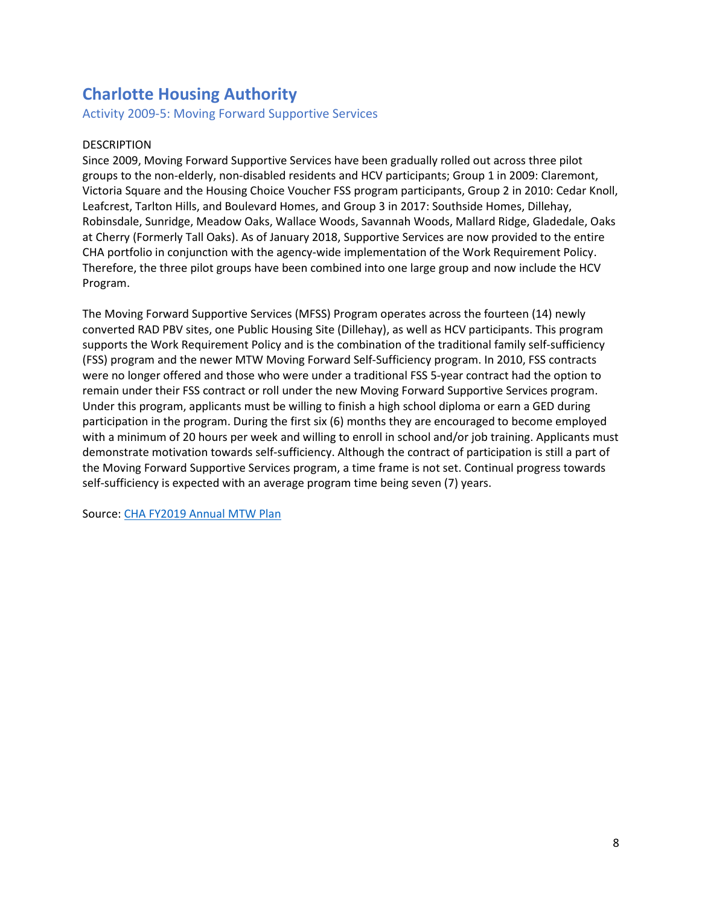# **Charlotte Housing Authority**

Activity 2009-5: Moving Forward Supportive Services

### DESCRIPTION

Since 2009, Moving Forward Supportive Services have been gradually rolled out across three pilot groups to the non-elderly, non-disabled residents and HCV participants; Group 1 in 2009: Claremont, Victoria Square and the Housing Choice Voucher FSS program participants, Group 2 in 2010: Cedar Knoll, Leafcrest, Tarlton Hills, and Boulevard Homes, and Group 3 in 2017: Southside Homes, Dillehay, Robinsdale, Sunridge, Meadow Oaks, Wallace Woods, Savannah Woods, Mallard Ridge, Gladedale, Oaks at Cherry (Formerly Tall Oaks). As of January 2018, Supportive Services are now provided to the entire CHA portfolio in conjunction with the agency-wide implementation of the Work Requirement Policy. Therefore, the three pilot groups have been combined into one large group and now include the HCV Program.

The Moving Forward Supportive Services (MFSS) Program operates across the fourteen (14) newly converted RAD PBV sites, one Public Housing Site (Dillehay), as well as HCV participants. This program supports the Work Requirement Policy and is the combination of the traditional family self-sufficiency (FSS) program and the newer MTW Moving Forward Self-Sufficiency program. In 2010, FSS contracts were no longer offered and those who were under a traditional FSS 5-year contract had the option to remain under their FSS contract or roll under the new Moving Forward Supportive Services program. Under this program, applicants must be willing to finish a high school diploma or earn a GED during participation in the program. During the first six (6) months they are encouraged to become employed with a minimum of 20 hours per week and willing to enroll in school and/or job training. Applicants must demonstrate motivation towards self-sufficiency. Although the contract of participation is still a part of the Moving Forward Supportive Services program, a time frame is not set. Continual progress towards self-sufficiency is expected with an average program time being seven (7) years.

Source: [CHA FY2019 Annual MTW Plan](https://www.hud.gov/sites/dfiles/PIH/documents/CHARLOTTEFY19Plan.pdf)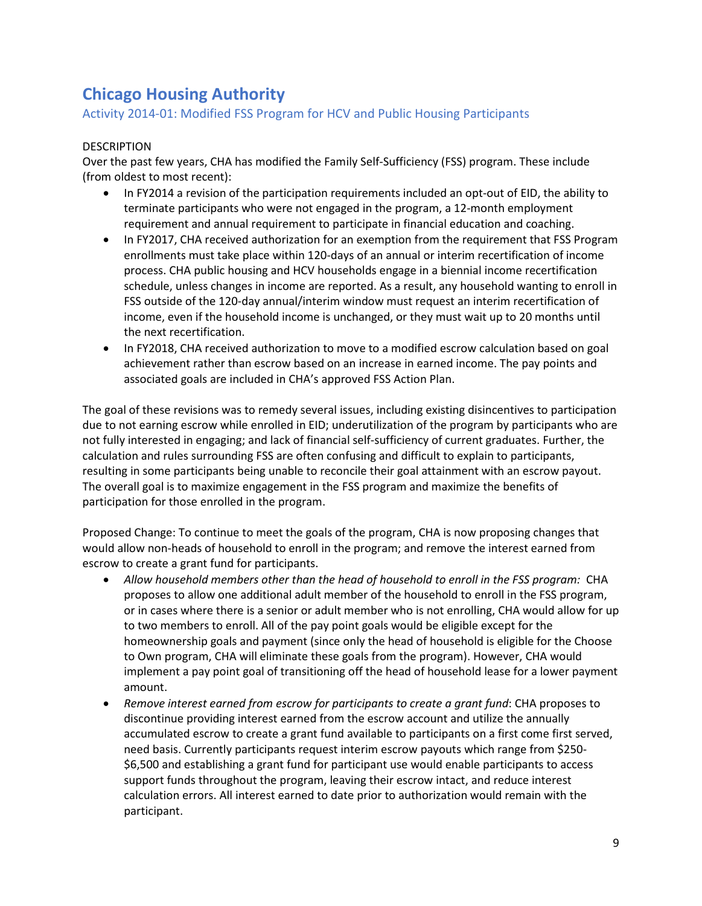# **Chicago Housing Authority**

## Activity 2014-01: Modified FSS Program for HCV and Public Housing Participants

### DESCRIPTION

Over the past few years, CHA has modified the Family Self-Sufficiency (FSS) program. These include (from oldest to most recent):

- In FY2014 a revision of the participation requirements included an opt-out of EID, the ability to terminate participants who were not engaged in the program, a 12-month employment requirement and annual requirement to participate in financial education and coaching.
- In FY2017, CHA received authorization for an exemption from the requirement that FSS Program enrollments must take place within 120-days of an annual or interim recertification of income process. CHA public housing and HCV households engage in a biennial income recertification schedule, unless changes in income are reported. As a result, any household wanting to enroll in FSS outside of the 120-day annual/interim window must request an interim recertification of income, even if the household income is unchanged, or they must wait up to 20 months until the next recertification.
- In FY2018, CHA received authorization to move to a modified escrow calculation based on goal achievement rather than escrow based on an increase in earned income. The pay points and associated goals are included in CHA's approved FSS Action Plan.

The goal of these revisions was to remedy several issues, including existing disincentives to participation due to not earning escrow while enrolled in EID; underutilization of the program by participants who are not fully interested in engaging; and lack of financial self-sufficiency of current graduates. Further, the calculation and rules surrounding FSS are often confusing and difficult to explain to participants, resulting in some participants being unable to reconcile their goal attainment with an escrow payout. The overall goal is to maximize engagement in the FSS program and maximize the benefits of participation for those enrolled in the program.

Proposed Change: To continue to meet the goals of the program, CHA is now proposing changes that would allow non-heads of household to enroll in the program; and remove the interest earned from escrow to create a grant fund for participants.

- *Allow household members other than the head of household to enroll in the FSS program:* CHA proposes to allow one additional adult member of the household to enroll in the FSS program, or in cases where there is a senior or adult member who is not enrolling, CHA would allow for up to two members to enroll. All of the pay point goals would be eligible except for the homeownership goals and payment (since only the head of household is eligible for the Choose to Own program, CHA will eliminate these goals from the program). However, CHA would implement a pay point goal of transitioning off the head of household lease for a lower payment amount.
- *Remove interest earned from escrow for participants to create a grant fund*: CHA proposes to discontinue providing interest earned from the escrow account and utilize the annually accumulated escrow to create a grant fund available to participants on a first come first served, need basis. Currently participants request interim escrow payouts which range from \$250- \$6,500 and establishing a grant fund for participant use would enable participants to access support funds throughout the program, leaving their escrow intact, and reduce interest calculation errors. All interest earned to date prior to authorization would remain with the participant.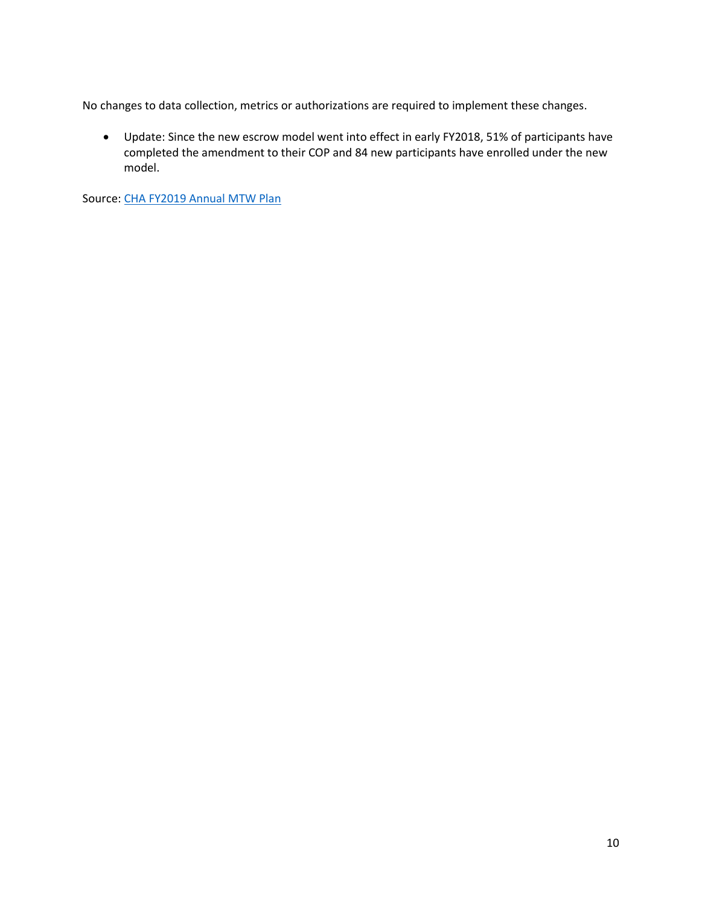No changes to data collection, metrics or authorizations are required to implement these changes.

 Update: Since the new escrow model went into effect in early FY2018, 51% of participants have completed the amendment to their COP and 84 new participants have enrolled under the new model.

Source: [CHA FY2019 Annual MTW Plan](https://www.hud.gov/sites/dfiles/PIH/documents/CHICAGOFY19PLAN.pdf)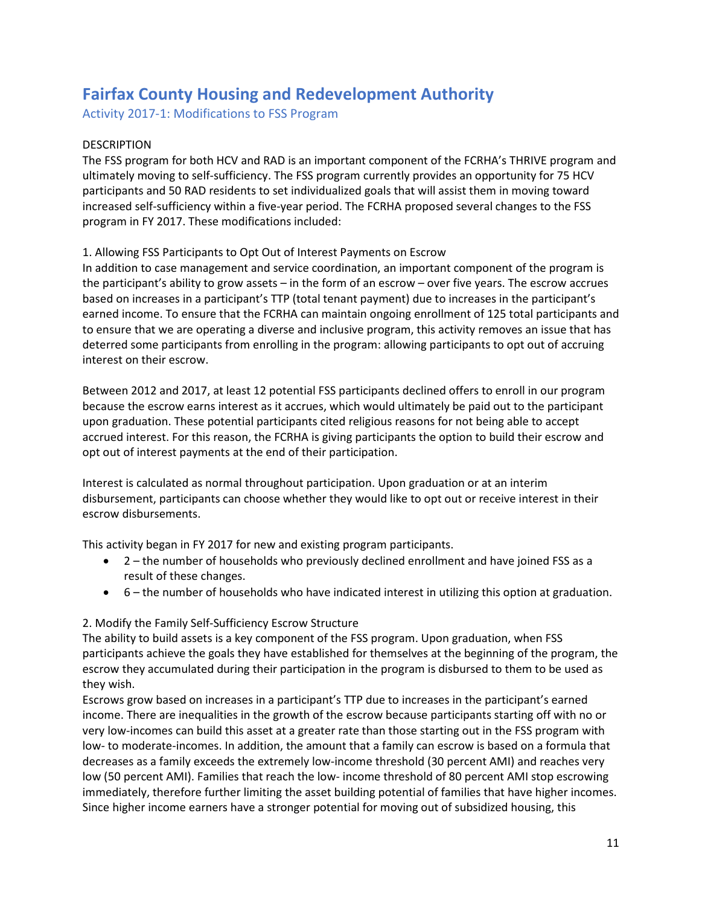# **Fairfax County Housing and Redevelopment Authority**

Activity 2017-1: Modifications to FSS Program

## DESCRIPTION

The FSS program for both HCV and RAD is an important component of the FCRHA's THRIVE program and ultimately moving to self-sufficiency. The FSS program currently provides an opportunity for 75 HCV participants and 50 RAD residents to set individualized goals that will assist them in moving toward increased self-sufficiency within a five-year period. The FCRHA proposed several changes to the FSS program in FY 2017. These modifications included:

#### 1. Allowing FSS Participants to Opt Out of Interest Payments on Escrow

In addition to case management and service coordination, an important component of the program is the participant's ability to grow assets – in the form of an escrow – over five years. The escrow accrues based on increases in a participant's TTP (total tenant payment) due to increases in the participant's earned income. To ensure that the FCRHA can maintain ongoing enrollment of 125 total participants and to ensure that we are operating a diverse and inclusive program, this activity removes an issue that has deterred some participants from enrolling in the program: allowing participants to opt out of accruing interest on their escrow.

Between 2012 and 2017, at least 12 potential FSS participants declined offers to enroll in our program because the escrow earns interest as it accrues, which would ultimately be paid out to the participant upon graduation. These potential participants cited religious reasons for not being able to accept accrued interest. For this reason, the FCRHA is giving participants the option to build their escrow and opt out of interest payments at the end of their participation.

Interest is calculated as normal throughout participation. Upon graduation or at an interim disbursement, participants can choose whether they would like to opt out or receive interest in their escrow disbursements.

This activity began in FY 2017 for new and existing program participants.

- 2 the number of households who previously declined enrollment and have joined FSS as a result of these changes.
- 6 the number of households who have indicated interest in utilizing this option at graduation.

## 2. Modify the Family Self-Sufficiency Escrow Structure

The ability to build assets is a key component of the FSS program. Upon graduation, when FSS participants achieve the goals they have established for themselves at the beginning of the program, the escrow they accumulated during their participation in the program is disbursed to them to be used as they wish.

Escrows grow based on increases in a participant's TTP due to increases in the participant's earned income. There are inequalities in the growth of the escrow because participants starting off with no or very low-incomes can build this asset at a greater rate than those starting out in the FSS program with low- to moderate-incomes. In addition, the amount that a family can escrow is based on a formula that decreases as a family exceeds the extremely low-income threshold (30 percent AMI) and reaches very low (50 percent AMI). Families that reach the low- income threshold of 80 percent AMI stop escrowing immediately, therefore further limiting the asset building potential of families that have higher incomes. Since higher income earners have a stronger potential for moving out of subsidized housing, this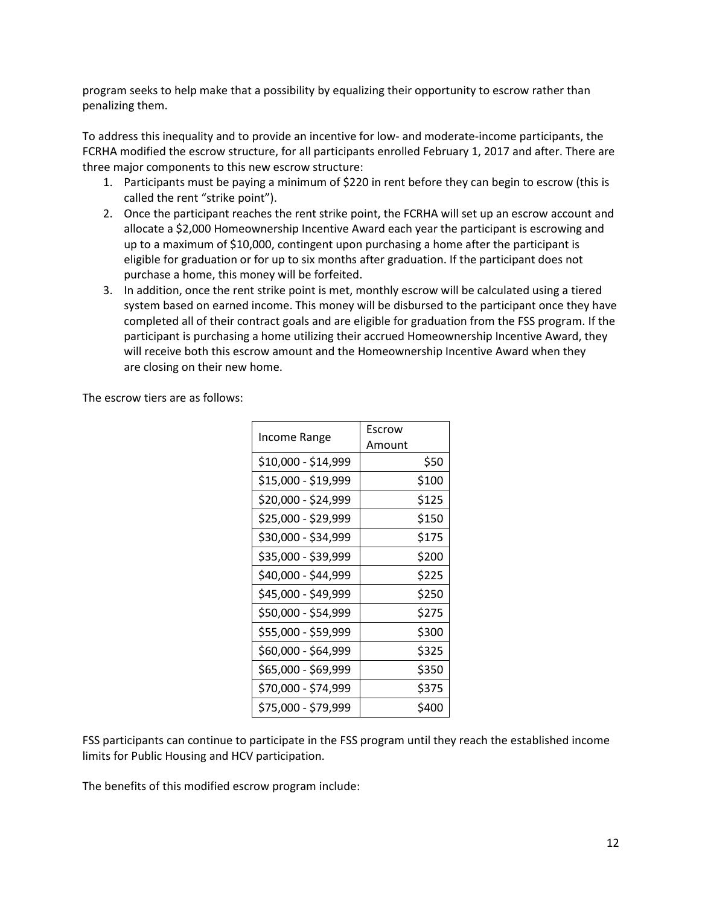program seeks to help make that a possibility by equalizing their opportunity to escrow rather than penalizing them.

To address this inequality and to provide an incentive for low- and moderate-income participants, the FCRHA modified the escrow structure, for all participants enrolled February 1, 2017 and after. There are three major components to this new escrow structure:

- 1. Participants must be paying a minimum of \$220 in rent before they can begin to escrow (this is called the rent "strike point").
- 2. Once the participant reaches the rent strike point, the FCRHA will set up an escrow account and allocate a \$2,000 Homeownership Incentive Award each year the participant is escrowing and up to a maximum of \$10,000, contingent upon purchasing a home after the participant is eligible for graduation or for up to six months after graduation. If the participant does not purchase a home, this money will be forfeited.
- 3. In addition, once the rent strike point is met, monthly escrow will be calculated using a tiered system based on earned income. This money will be disbursed to the participant once they have completed all of their contract goals and are eligible for graduation from the FSS program. If the participant is purchasing a home utilizing their accrued Homeownership Incentive Award, they will receive both this escrow amount and the Homeownership Incentive Award when they are closing on their new home.

The escrow tiers are as follows:

| <b>Income Range</b> | Escrow<br>Amount |
|---------------------|------------------|
| \$10,000 - \$14,999 | \$50             |
| \$15,000 - \$19,999 | \$100            |
| \$20,000 - \$24,999 | \$125            |
| \$25,000 - \$29,999 | \$150            |
| \$30,000 - \$34,999 | \$175            |
| \$35,000 - \$39,999 | \$200            |
| \$40,000 - \$44,999 | \$225            |
| \$45,000 - \$49,999 | \$250            |
| \$50,000 - \$54,999 | \$275            |
| \$55,000 - \$59,999 | \$300            |
| \$60,000 - \$64,999 | \$325            |
| \$65,000 - \$69,999 | \$350            |
| \$70,000 - \$74,999 | \$375            |
| \$75,000 - \$79,999 | \$400            |

FSS participants can continue to participate in the FSS program until they reach the established income limits for Public Housing and HCV participation.

The benefits of this modified escrow program include: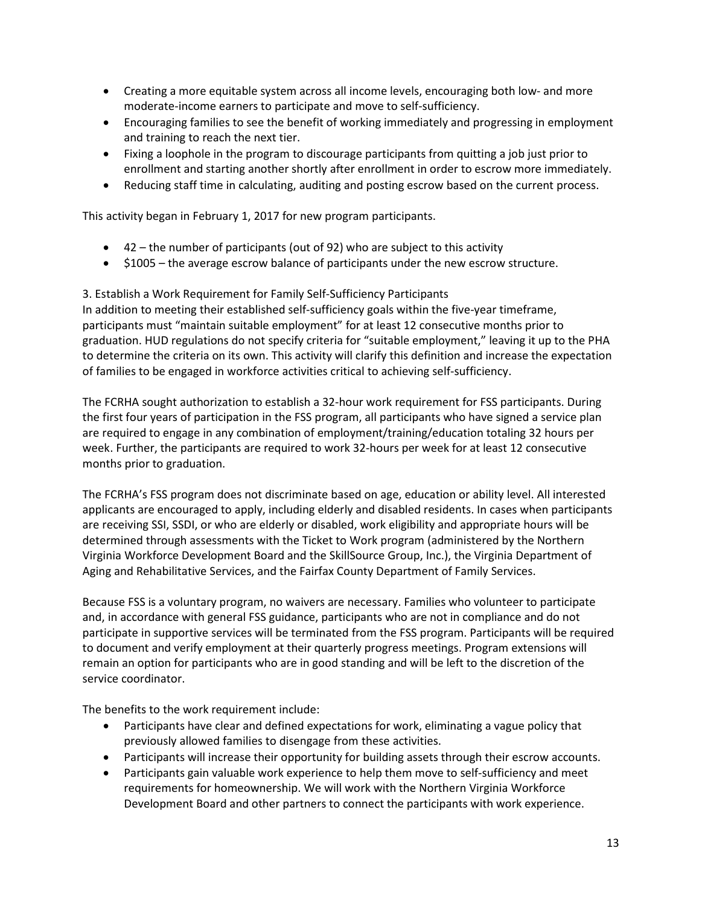- Creating a more equitable system across all income levels, encouraging both low- and more moderate-income earners to participate and move to self-sufficiency.
- Encouraging families to see the benefit of working immediately and progressing in employment and training to reach the next tier.
- Fixing a loophole in the program to discourage participants from quitting a job just prior to enrollment and starting another shortly after enrollment in order to escrow more immediately.
- Reducing staff time in calculating, auditing and posting escrow based on the current process.

This activity began in February 1, 2017 for new program participants.

- 42 the number of participants (out of 92) who are subject to this activity
- \$1005 the average escrow balance of participants under the new escrow structure.

3. Establish a Work Requirement for Family Self-Sufficiency Participants In addition to meeting their established self-sufficiency goals within the five-year timeframe, participants must "maintain suitable employment" for at least 12 consecutive months prior to graduation. HUD regulations do not specify criteria for "suitable employment," leaving it up to the PHA to determine the criteria on its own. This activity will clarify this definition and increase the expectation of families to be engaged in workforce activities critical to achieving self-sufficiency.

The FCRHA sought authorization to establish a 32-hour work requirement for FSS participants. During the first four years of participation in the FSS program, all participants who have signed a service plan are required to engage in any combination of employment/training/education totaling 32 hours per week. Further, the participants are required to work 32-hours per week for at least 12 consecutive months prior to graduation.

The FCRHA's FSS program does not discriminate based on age, education or ability level. All interested applicants are encouraged to apply, including elderly and disabled residents. In cases when participants are receiving SSI, SSDI, or who are elderly or disabled, work eligibility and appropriate hours will be determined through assessments with the Ticket to Work program (administered by the Northern Virginia Workforce Development Board and the SkillSource Group, Inc.), the Virginia Department of Aging and Rehabilitative Services, and the Fairfax County Department of Family Services.

Because FSS is a voluntary program, no waivers are necessary. Families who volunteer to participate and, in accordance with general FSS guidance, participants who are not in compliance and do not participate in supportive services will be terminated from the FSS program. Participants will be required to document and verify employment at their quarterly progress meetings. Program extensions will remain an option for participants who are in good standing and will be left to the discretion of the service coordinator.

The benefits to the work requirement include:

- Participants have clear and defined expectations for work, eliminating a vague policy that previously allowed families to disengage from these activities.
- Participants will increase their opportunity for building assets through their escrow accounts.
- Participants gain valuable work experience to help them move to self-sufficiency and meet requirements for homeownership. We will work with the Northern Virginia Workforce Development Board and other partners to connect the participants with work experience.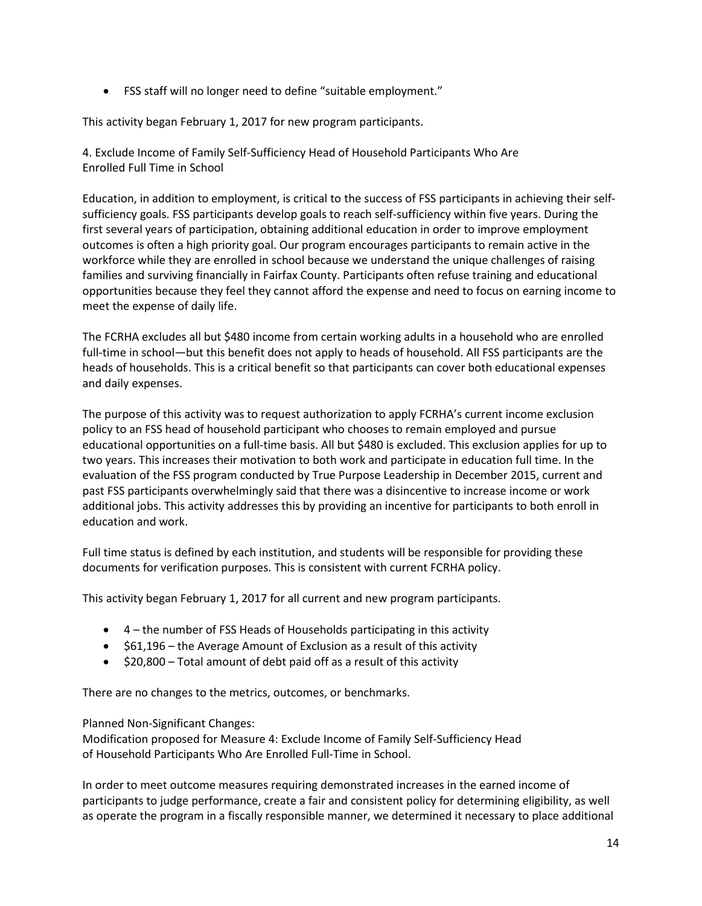FSS staff will no longer need to define "suitable employment."

This activity began February 1, 2017 for new program participants.

4. Exclude Income of Family Self-Sufficiency Head of Household Participants Who Are Enrolled Full Time in School

Education, in addition to employment, is critical to the success of FSS participants in achieving their selfsufficiency goals. FSS participants develop goals to reach self-sufficiency within five years. During the first several years of participation, obtaining additional education in order to improve employment outcomes is often a high priority goal. Our program encourages participants to remain active in the workforce while they are enrolled in school because we understand the unique challenges of raising families and surviving financially in Fairfax County. Participants often refuse training and educational opportunities because they feel they cannot afford the expense and need to focus on earning income to meet the expense of daily life.

The FCRHA excludes all but \$480 income from certain working adults in a household who are enrolled full-time in school—but this benefit does not apply to heads of household. All FSS participants are the heads of households. This is a critical benefit so that participants can cover both educational expenses and daily expenses.

The purpose of this activity was to request authorization to apply FCRHA's current income exclusion policy to an FSS head of household participant who chooses to remain employed and pursue educational opportunities on a full-time basis. All but \$480 is excluded. This exclusion applies for up to two years. This increases their motivation to both work and participate in education full time. In the evaluation of the FSS program conducted by True Purpose Leadership in December 2015, current and past FSS participants overwhelmingly said that there was a disincentive to increase income or work additional jobs. This activity addresses this by providing an incentive for participants to both enroll in education and work.

Full time status is defined by each institution, and students will be responsible for providing these documents for verification purposes. This is consistent with current FCRHA policy.

This activity began February 1, 2017 for all current and new program participants.

- 4 the number of FSS Heads of Households participating in this activity
- $\bullet$  \$61,196 the Average Amount of Exclusion as a result of this activity
- $\bullet$  \$20,800 Total amount of debt paid off as a result of this activity

There are no changes to the metrics, outcomes, or benchmarks.

Planned Non-Significant Changes:

Modification proposed for Measure 4: Exclude Income of Family Self-Sufficiency Head of Household Participants Who Are Enrolled Full-Time in School.

In order to meet outcome measures requiring demonstrated increases in the earned income of participants to judge performance, create a fair and consistent policy for determining eligibility, as well as operate the program in a fiscally responsible manner, we determined it necessary to place additional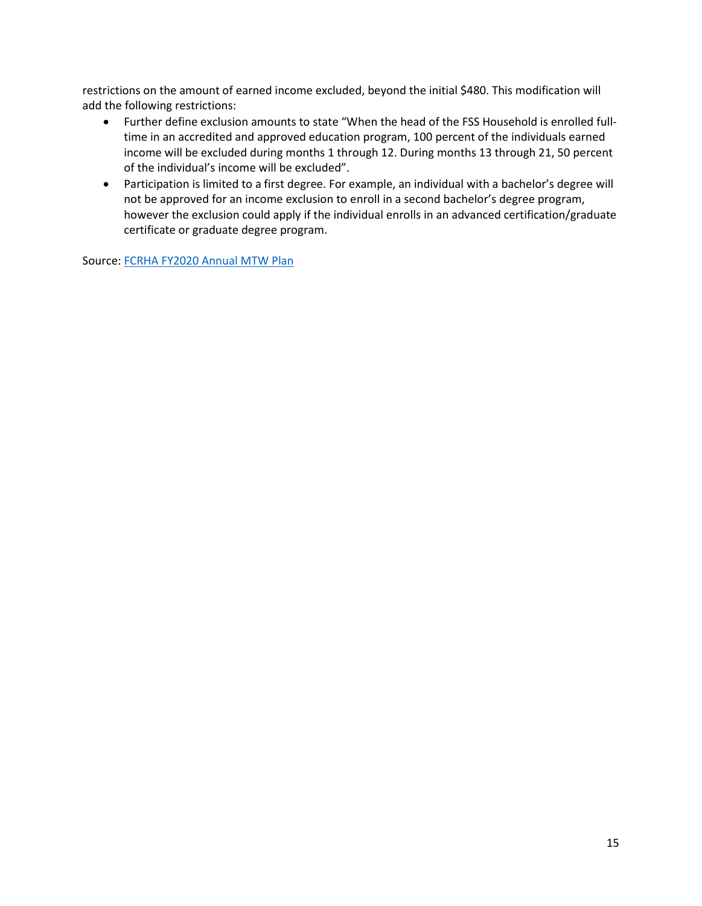restrictions on the amount of earned income excluded, beyond the initial \$480. This modification will add the following restrictions:

- Further define exclusion amounts to state "When the head of the FSS Household is enrolled fulltime in an accredited and approved education program, 100 percent of the individuals earned income will be excluded during months 1 through 12. During months 13 through 21, 50 percent of the individual's income will be excluded".
- Participation is limited to a first degree. For example, an individual with a bachelor's degree will not be approved for an income exclusion to enroll in a second bachelor's degree program, however the exclusion could apply if the individual enrolls in an advanced certification/graduate certificate or graduate degree program.

Source: [FCRHA FY2020 Annual MTW Plan](https://www.hud.gov/sites/dfiles/PIH/documents/FairfaxFY20Plan.pdf)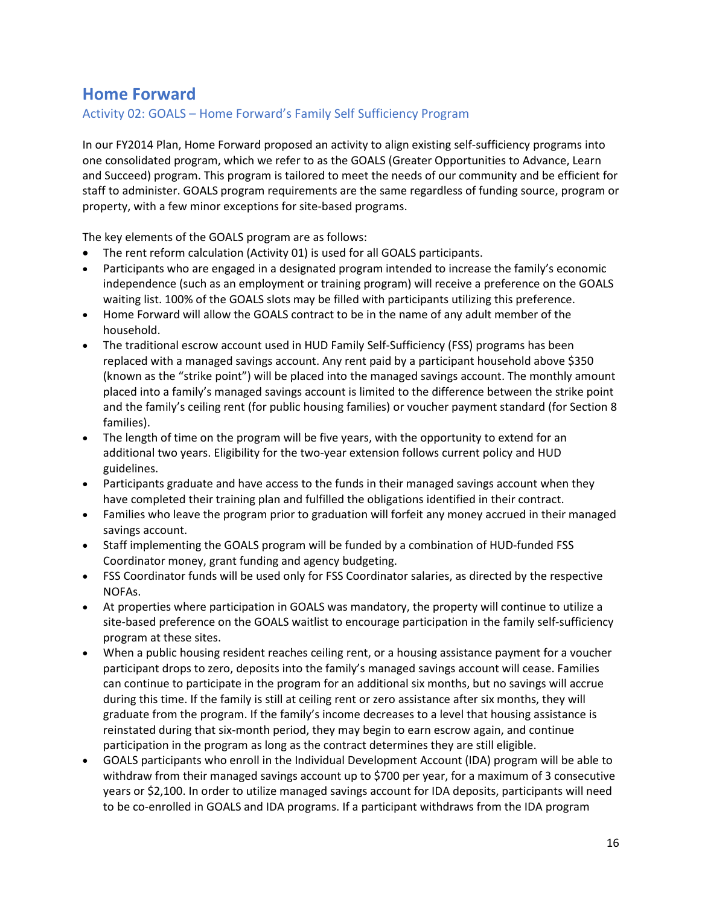# **Home Forward**

Activity 02: GOALS – Home Forward's Family Self Sufficiency Program

In our FY2014 Plan, Home Forward proposed an activity to align existing self-sufficiency programs into one consolidated program, which we refer to as the GOALS (Greater Opportunities to Advance, Learn and Succeed) program. This program is tailored to meet the needs of our community and be efficient for staff to administer. GOALS program requirements are the same regardless of funding source, program or property, with a few minor exceptions for site-based programs.

The key elements of the GOALS program are as follows:

- The rent reform calculation (Activity 01) is used for all GOALS participants.
- Participants who are engaged in a designated program intended to increase the family's economic independence (such as an employment or training program) will receive a preference on the GOALS waiting list. 100% of the GOALS slots may be filled with participants utilizing this preference.
- Home Forward will allow the GOALS contract to be in the name of any adult member of the household.
- The traditional escrow account used in HUD Family Self-Sufficiency (FSS) programs has been replaced with a managed savings account. Any rent paid by a participant household above \$350 (known as the "strike point") will be placed into the managed savings account. The monthly amount placed into a family's managed savings account is limited to the difference between the strike point and the family's ceiling rent (for public housing families) or voucher payment standard (for Section 8 families).
- The length of time on the program will be five years, with the opportunity to extend for an additional two years. Eligibility for the two-year extension follows current policy and HUD guidelines.
- Participants graduate and have access to the funds in their managed savings account when they have completed their training plan and fulfilled the obligations identified in their contract.
- Families who leave the program prior to graduation will forfeit any money accrued in their managed savings account.
- Staff implementing the GOALS program will be funded by a combination of HUD-funded FSS Coordinator money, grant funding and agency budgeting.
- FSS Coordinator funds will be used only for FSS Coordinator salaries, as directed by the respective NOFAs.
- At properties where participation in GOALS was mandatory, the property will continue to utilize a site-based preference on the GOALS waitlist to encourage participation in the family self-sufficiency program at these sites.
- When a public housing resident reaches ceiling rent, or a housing assistance payment for a voucher participant drops to zero, deposits into the family's managed savings account will cease. Families can continue to participate in the program for an additional six months, but no savings will accrue during this time. If the family is still at ceiling rent or zero assistance after six months, they will graduate from the program. If the family's income decreases to a level that housing assistance is reinstated during that six-month period, they may begin to earn escrow again, and continue participation in the program as long as the contract determines they are still eligible.
- GOALS participants who enroll in the Individual Development Account (IDA) program will be able to withdraw from their managed savings account up to \$700 per year, for a maximum of 3 consecutive years or \$2,100. In order to utilize managed savings account for IDA deposits, participants will need to be co-enrolled in GOALS and IDA programs. If a participant withdraws from the IDA program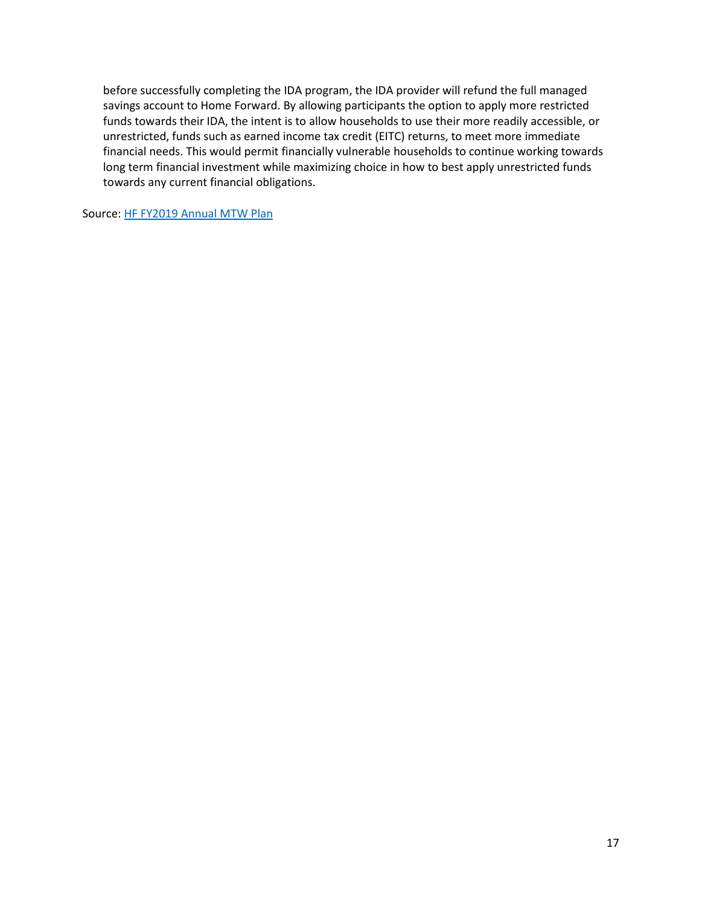before successfully completing the IDA program, the IDA provider will refund the full managed savings account to Home Forward. By allowing participants the option to apply more restricted funds towards their IDA, the intent is to allow households to use their more readily accessible, or unrestricted, funds such as earned income tax credit (EITC) returns, to meet more immediate financial needs. This would permit financially vulnerable households to continue working towards long term financial investment while maximizing choice in how to best apply unrestricted funds towards any current financial obligations.

Source: [HF FY2019 Annual MTW Plan](https://www.hud.gov/sites/dfiles/PIH/documents/PortlandFY19Plan.pdf)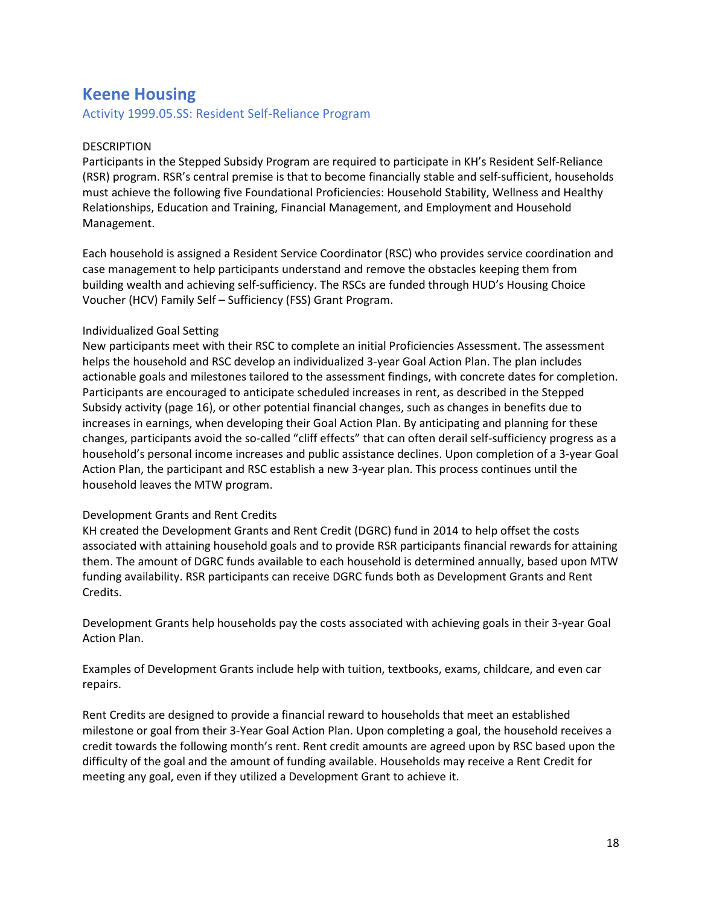## **Keene Housing**

Activity 1999.05.SS: Resident Self-Reliance Program

#### DESCRIPTION

Participants in the Stepped Subsidy Program are required to participate in KH's Resident Self-Reliance (RSR) program. RSR's central premise is that to become financially stable and self-sufficient, households must achieve the following five Foundational Proficiencies: Household Stability, Wellness and Healthy Relationships, Education and Training, Financial Management, and Employment and Household Management.

Each household is assigned a Resident Service Coordinator (RSC) who provides service coordination and case management to help participants understand and remove the obstacles keeping them from building wealth and achieving self-sufficiency. The RSCs are funded through HUD's Housing Choice Voucher (HCV) Family Self – Sufficiency (FSS) Grant Program.

#### Individualized Goal Setting

New participants meet with their RSC to complete an initial Proficiencies Assessment. The assessment helps the household and RSC develop an individualized 3-year Goal Action Plan. The plan includes actionable goals and milestones tailored to the assessment findings, with concrete dates for completion. Participants are encouraged to anticipate scheduled increases in rent, as described in the Stepped Subsidy activity (page 16), or other potential financial changes, such as changes in benefits due to increases in earnings, when developing their Goal Action Plan. By anticipating and planning for these changes, participants avoid the so-called "cliff effects" that can often derail self-sufficiency progress as a household's personal income increases and public assistance declines. Upon completion of a 3-year Goal Action Plan, the participant and RSC establish a new 3-year plan. This process continues until the household leaves the MTW program.

#### Development Grants and Rent Credits

KH created the Development Grants and Rent Credit (DGRC) fund in 2014 to help offset the costs associated with attaining household goals and to provide RSR participants financial rewards for attaining them. The amount of DGRC funds available to each household is determined annually, based upon MTW funding availability. RSR participants can receive DGRC funds both as Development Grants and Rent Credits.

Development Grants help households pay the costs associated with achieving goals in their 3-year Goal Action Plan.

Examples of Development Grants include help with tuition, textbooks, exams, childcare, and even car repairs.

Rent Credits are designed to provide a financial reward to households that meet an established milestone or goal from their 3-Year Goal Action Plan. Upon completing a goal, the household receives a credit towards the following month's rent. Rent credit amounts are agreed upon by RSC based upon the difficulty of the goal and the amount of funding available. Households may receive a Rent Credit for meeting any goal, even if they utilized a Development Grant to achieve it.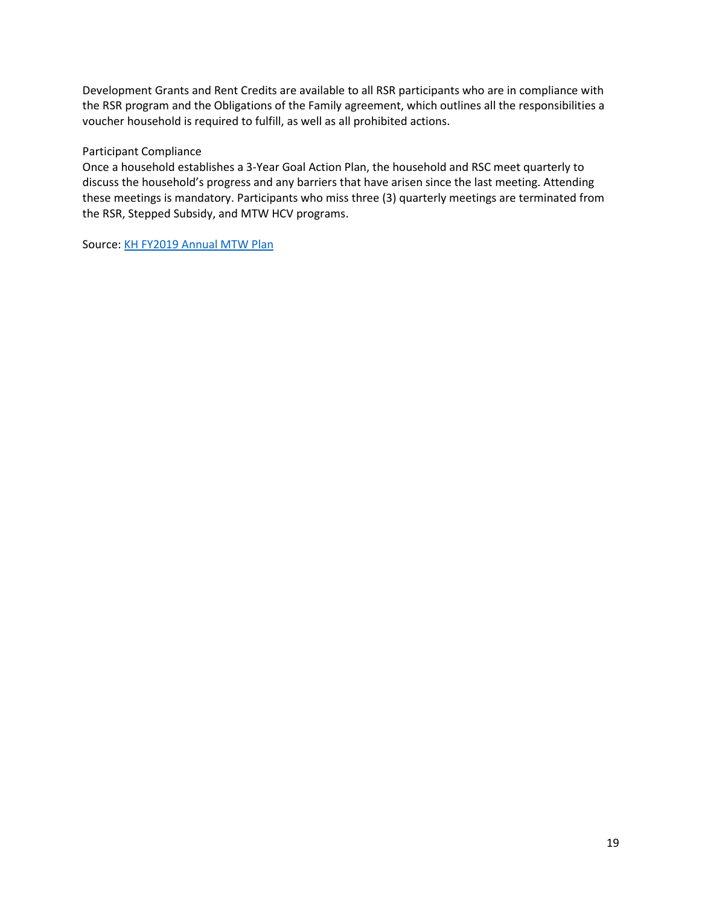Development Grants and Rent Credits are available to all RSR participants who are in compliance with the RSR program and the Obligations of the Family agreement, which outlines all the responsibilities a voucher household is required to fulfill, as well as all prohibited actions.

#### Participant Compliance

Once a household establishes a 3-Year Goal Action Plan, the household and RSC meet quarterly to discuss the household's progress and any barriers that have arisen since the last meeting. Attending these meetings is mandatory. Participants who miss three (3) quarterly meetings are terminated from the RSR, Stepped Subsidy, and MTW HCV programs.

Source: [KH FY2019 Annual MTW Plan](https://www.hud.gov/sites/dfiles/PIH/documents/KeeneFY19Plan.pdf)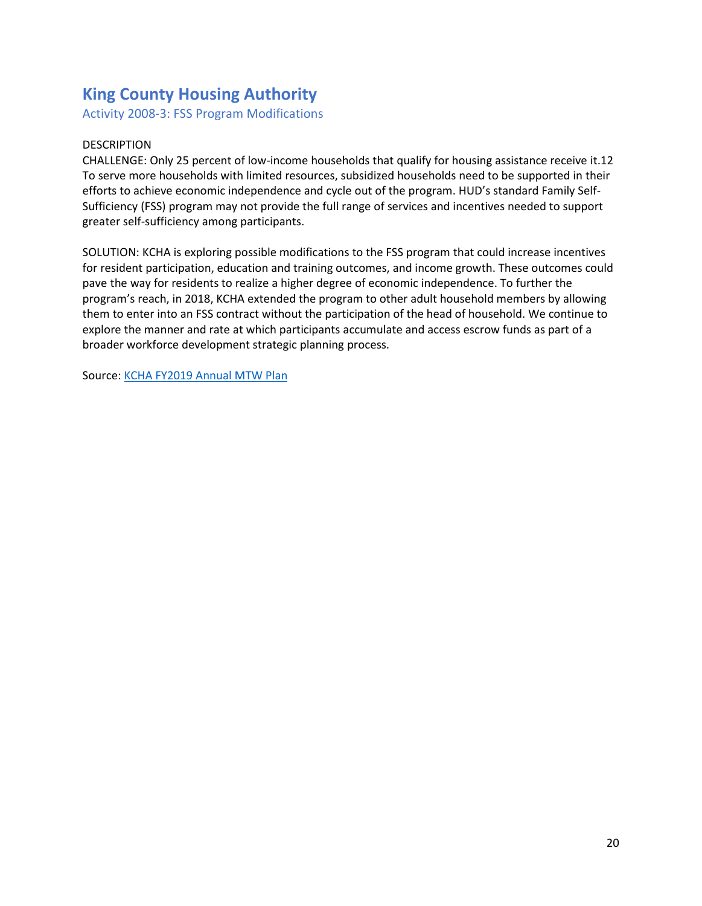# **King County Housing Authority**

Activity 2008-3: FSS Program Modifications

## DESCRIPTION

CHALLENGE: Only 25 percent of low-income households that qualify for housing assistance receive it.12 To serve more households with limited resources, subsidized households need to be supported in their efforts to achieve economic independence and cycle out of the program. HUD's standard Family Self-Sufficiency (FSS) program may not provide the full range of services and incentives needed to support greater self-sufficiency among participants.

SOLUTION: KCHA is exploring possible modifications to the FSS program that could increase incentives for resident participation, education and training outcomes, and income growth. These outcomes could pave the way for residents to realize a higher degree of economic independence. To further the program's reach, in 2018, KCHA extended the program to other adult household members by allowing them to enter into an FSS contract without the participation of the head of household. We continue to explore the manner and rate at which participants accumulate and access escrow funds as part of a broader workforce development strategic planning process.

Source: [KCHA FY2019 Annual MTW Plan](https://www.hud.gov/sites/dfiles/PIH/documents/KCHAFY2019Plan.pdf)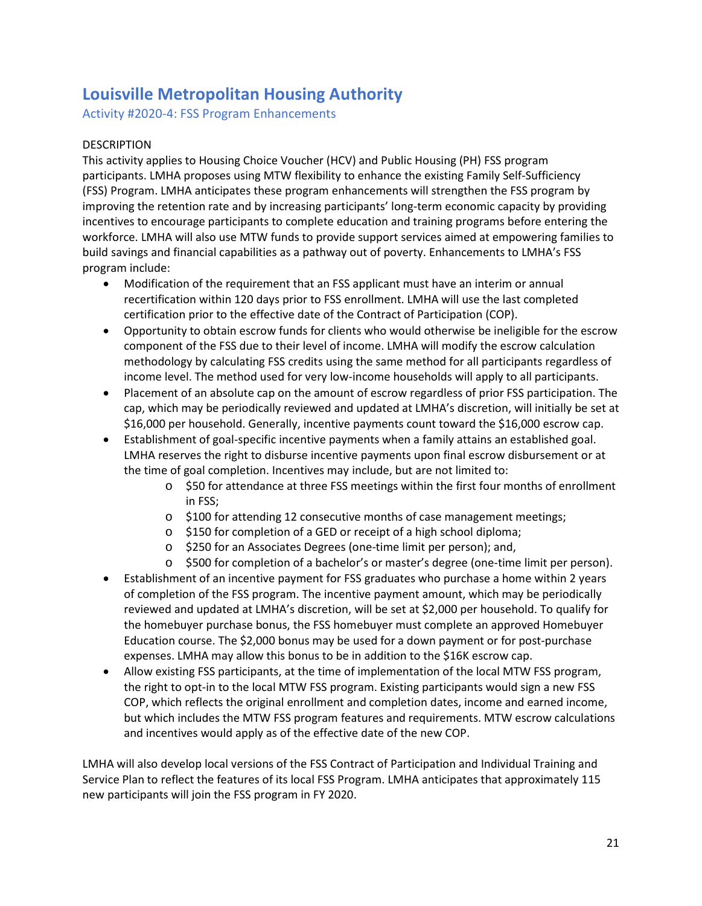# **Louisville Metropolitan Housing Authority**

Activity #2020-4: FSS Program Enhancements

## DESCRIPTION

This activity applies to Housing Choice Voucher (HCV) and Public Housing (PH) FSS program participants. LMHA proposes using MTW flexibility to enhance the existing Family Self-Sufficiency (FSS) Program. LMHA anticipates these program enhancements will strengthen the FSS program by improving the retention rate and by increasing participants' long-term economic capacity by providing incentives to encourage participants to complete education and training programs before entering the workforce. LMHA will also use MTW funds to provide support services aimed at empowering families to build savings and financial capabilities as a pathway out of poverty. Enhancements to LMHA's FSS program include:

- Modification of the requirement that an FSS applicant must have an interim or annual recertification within 120 days prior to FSS enrollment. LMHA will use the last completed certification prior to the effective date of the Contract of Participation (COP).
- Opportunity to obtain escrow funds for clients who would otherwise be ineligible for the escrow component of the FSS due to their level of income. LMHA will modify the escrow calculation methodology by calculating FSS credits using the same method for all participants regardless of income level. The method used for very low-income households will apply to all participants.
- Placement of an absolute cap on the amount of escrow regardless of prior FSS participation. The cap, which may be periodically reviewed and updated at LMHA's discretion, will initially be set at \$16,000 per household. Generally, incentive payments count toward the \$16,000 escrow cap.
- Establishment of goal-specific incentive payments when a family attains an established goal. LMHA reserves the right to disburse incentive payments upon final escrow disbursement or at the time of goal completion. Incentives may include, but are not limited to:
	- o \$50 for attendance at three FSS meetings within the first four months of enrollment in FSS;
	- o \$100 for attending 12 consecutive months of case management meetings;
	- o \$150 for completion of a GED or receipt of a high school diploma;
	- o \$250 for an Associates Degrees (one-time limit per person); and,
	- o \$500 for completion of a bachelor's or master's degree (one-time limit per person).
- Establishment of an incentive payment for FSS graduates who purchase a home within 2 years of completion of the FSS program. The incentive payment amount, which may be periodically reviewed and updated at LMHA's discretion, will be set at \$2,000 per household. To qualify for the homebuyer purchase bonus, the FSS homebuyer must complete an approved Homebuyer Education course. The \$2,000 bonus may be used for a down payment or for post-purchase expenses. LMHA may allow this bonus to be in addition to the \$16K escrow cap.
- Allow existing FSS participants, at the time of implementation of the local MTW FSS program, the right to opt-in to the local MTW FSS program. Existing participants would sign a new FSS COP, which reflects the original enrollment and completion dates, income and earned income, but which includes the MTW FSS program features and requirements. MTW escrow calculations and incentives would apply as of the effective date of the new COP.

LMHA will also develop local versions of the FSS Contract of Participation and Individual Training and Service Plan to reflect the features of its local FSS Program. LMHA anticipates that approximately 115 new participants will join the FSS program in FY 2020.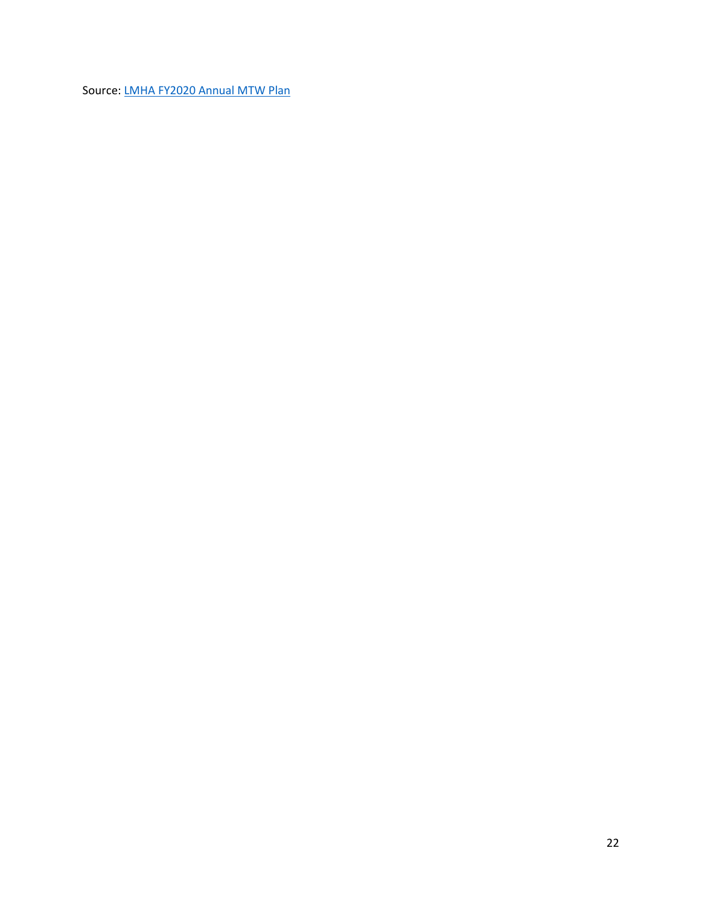Source: [LMHA FY2020 Annual MTW Plan](https://www.hud.gov/sites/dfiles/PIH/documents/LouisvilleFY20Plan.pdf)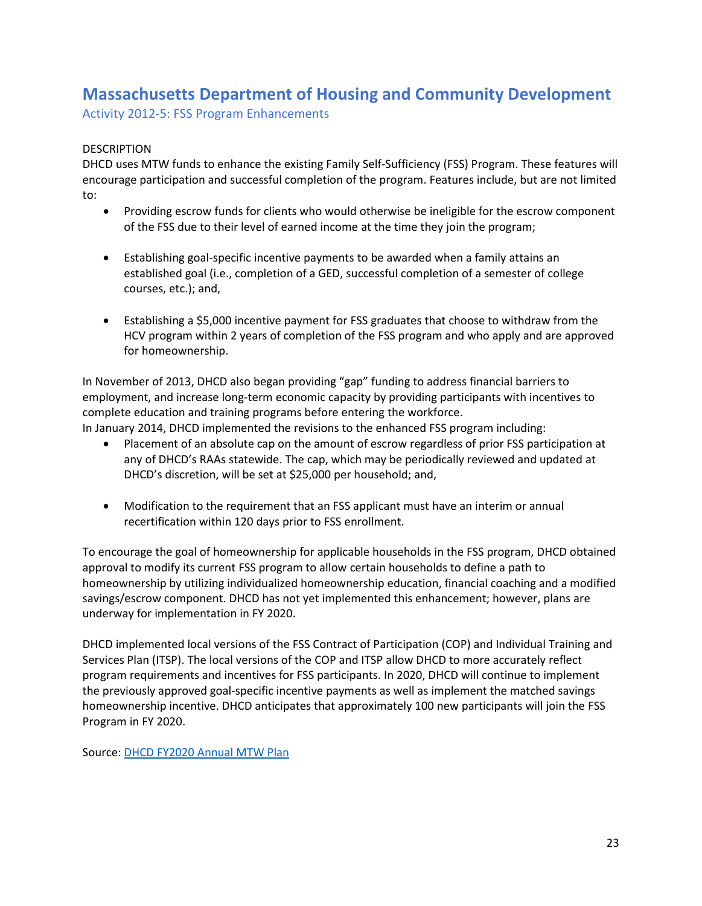# **Massachusetts Department of Housing and Community Development**

Activity 2012-5: FSS Program Enhancements

### DESCRIPTION

DHCD uses MTW funds to enhance the existing Family Self-Sufficiency (FSS) Program. These features will encourage participation and successful completion of the program. Features include, but are not limited to:

- Providing escrow funds for clients who would otherwise be ineligible for the escrow component of the FSS due to their level of earned income at the time they join the program;
- Establishing goal-specific incentive payments to be awarded when a family attains an established goal (i.e., completion of a GED, successful completion of a semester of college courses, etc.); and,
- Establishing a \$5,000 incentive payment for FSS graduates that choose to withdraw from the HCV program within 2 years of completion of the FSS program and who apply and are approved for homeownership.

In November of 2013, DHCD also began providing "gap" funding to address financial barriers to employment, and increase long-term economic capacity by providing participants with incentives to complete education and training programs before entering the workforce.

In January 2014, DHCD implemented the revisions to the enhanced FSS program including:

- Placement of an absolute cap on the amount of escrow regardless of prior FSS participation at any of DHCD's RAAs statewide. The cap, which may be periodically reviewed and updated at DHCD's discretion, will be set at \$25,000 per household; and,
- Modification to the requirement that an FSS applicant must have an interim or annual recertification within 120 days prior to FSS enrollment.

To encourage the goal of homeownership for applicable households in the FSS program, DHCD obtained approval to modify its current FSS program to allow certain households to define a path to homeownership by utilizing individualized homeownership education, financial coaching and a modified savings/escrow component. DHCD has not yet implemented this enhancement; however, plans are underway for implementation in FY 2020.

DHCD implemented local versions of the FSS Contract of Participation (COP) and Individual Training and Services Plan (ITSP). The local versions of the COP and ITSP allow DHCD to more accurately reflect program requirements and incentives for FSS participants. In 2020, DHCD will continue to implement the previously approved goal-specific incentive payments as well as implement the matched savings homeownership incentive. DHCD anticipates that approximately 100 new participants will join the FSS Program in FY 2020.

Source: [DHCD FY2020 Annual MTW Plan](https://www.hud.gov/sites/dfiles/PIH/documents/MassFY20Plan.pdf)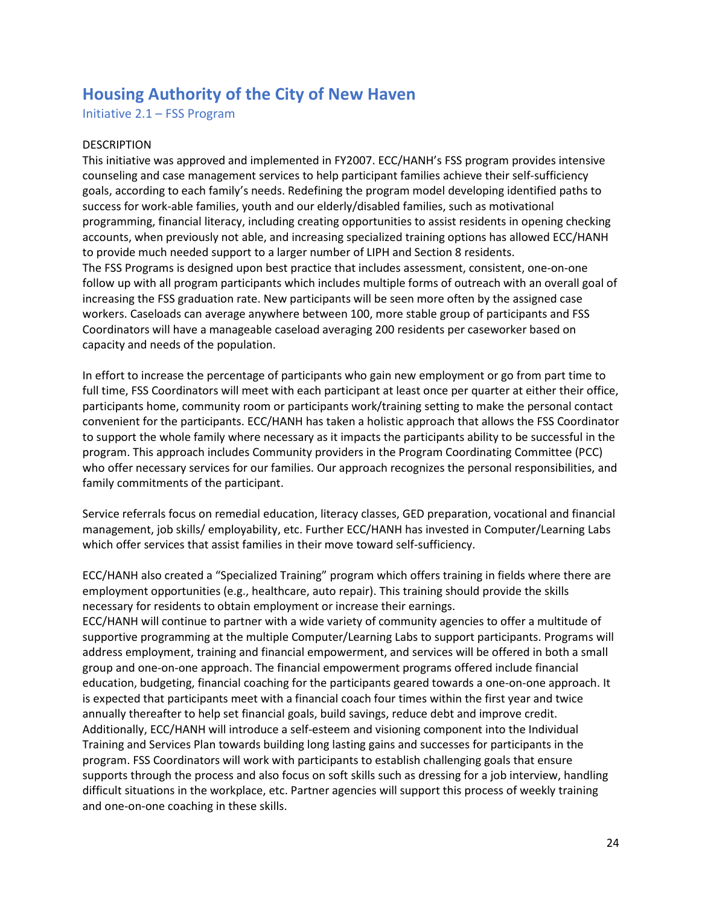## **Housing Authority of the City of New Haven**

Initiative 2.1 – FSS Program

#### DESCRIPTION

This initiative was approved and implemented in FY2007. ECC/HANH's FSS program provides intensive counseling and case management services to help participant families achieve their self-sufficiency goals, according to each family's needs. Redefining the program model developing identified paths to success for work-able families, youth and our elderly/disabled families, such as motivational programming, financial literacy, including creating opportunities to assist residents in opening checking accounts, when previously not able, and increasing specialized training options has allowed ECC/HANH to provide much needed support to a larger number of LIPH and Section 8 residents. The FSS Programs is designed upon best practice that includes assessment, consistent, one-on-one follow up with all program participants which includes multiple forms of outreach with an overall goal of increasing the FSS graduation rate. New participants will be seen more often by the assigned case workers. Caseloads can average anywhere between 100, more stable group of participants and FSS Coordinators will have a manageable caseload averaging 200 residents per caseworker based on capacity and needs of the population.

In effort to increase the percentage of participants who gain new employment or go from part time to full time, FSS Coordinators will meet with each participant at least once per quarter at either their office, participants home, community room or participants work/training setting to make the personal contact convenient for the participants. ECC/HANH has taken a holistic approach that allows the FSS Coordinator to support the whole family where necessary as it impacts the participants ability to be successful in the program. This approach includes Community providers in the Program Coordinating Committee (PCC) who offer necessary services for our families. Our approach recognizes the personal responsibilities, and family commitments of the participant.

Service referrals focus on remedial education, literacy classes, GED preparation, vocational and financial management, job skills/ employability, etc. Further ECC/HANH has invested in Computer/Learning Labs which offer services that assist families in their move toward self-sufficiency.

ECC/HANH also created a "Specialized Training" program which offers training in fields where there are employment opportunities (e.g., healthcare, auto repair). This training should provide the skills necessary for residents to obtain employment or increase their earnings.

ECC/HANH will continue to partner with a wide variety of community agencies to offer a multitude of supportive programming at the multiple Computer/Learning Labs to support participants. Programs will address employment, training and financial empowerment, and services will be offered in both a small group and one-on-one approach. The financial empowerment programs offered include financial education, budgeting, financial coaching for the participants geared towards a one-on-one approach. It is expected that participants meet with a financial coach four times within the first year and twice annually thereafter to help set financial goals, build savings, reduce debt and improve credit. Additionally, ECC/HANH will introduce a self-esteem and visioning component into the Individual Training and Services Plan towards building long lasting gains and successes for participants in the program. FSS Coordinators will work with participants to establish challenging goals that ensure supports through the process and also focus on soft skills such as dressing for a job interview, handling difficult situations in the workplace, etc. Partner agencies will support this process of weekly training and one-on-one coaching in these skills.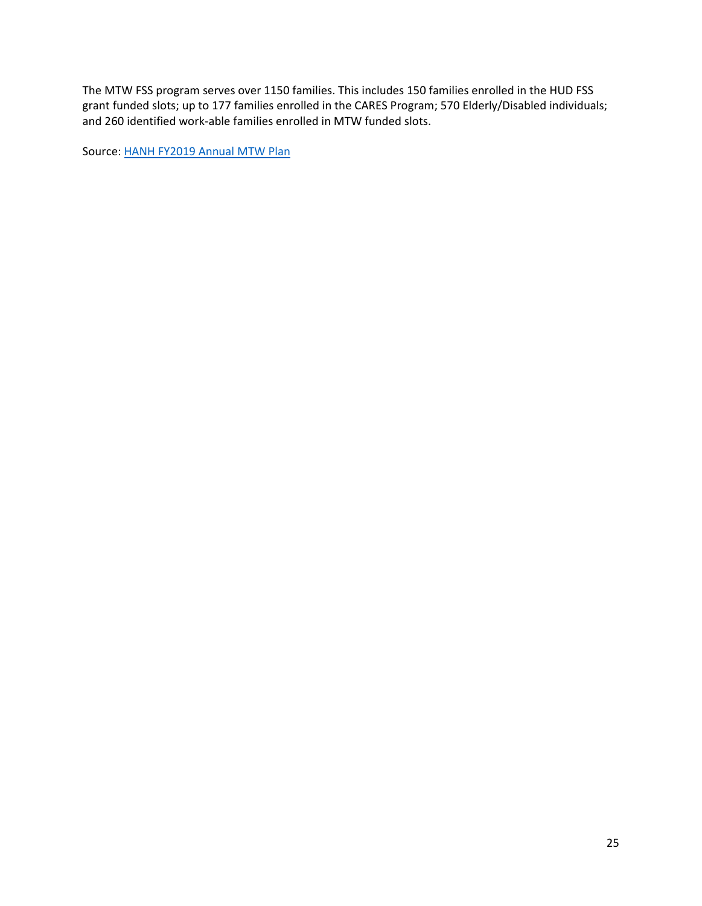The MTW FSS program serves over 1150 families. This includes 150 families enrolled in the HUD FSS grant funded slots; up to 177 families enrolled in the CARES Program; 570 Elderly/Disabled individuals; and 260 identified work-able families enrolled in MTW funded slots.

Source: [HANH FY2019 Annual MTW Plan](https://www.hud.gov/sites/dfiles/PIH/documents/NewHavenFY19Plan.pdf)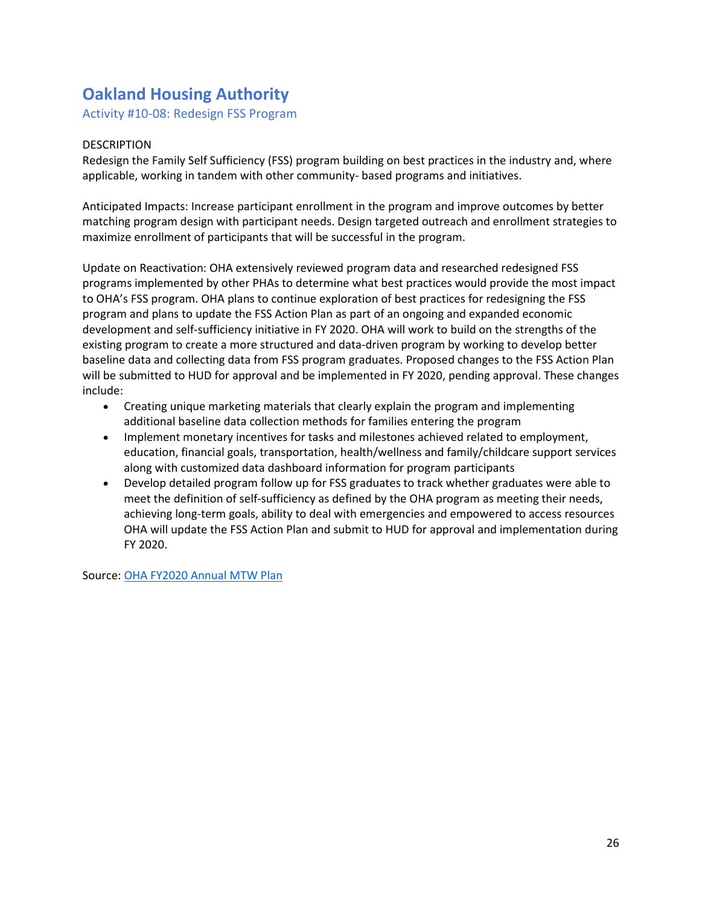# **Oakland Housing Authority**

Activity #10-08: Redesign FSS Program

## DESCRIPTION

Redesign the Family Self Sufficiency (FSS) program building on best practices in the industry and, where applicable, working in tandem with other community- based programs and initiatives.

Anticipated Impacts: Increase participant enrollment in the program and improve outcomes by better matching program design with participant needs. Design targeted outreach and enrollment strategies to maximize enrollment of participants that will be successful in the program.

Update on Reactivation: OHA extensively reviewed program data and researched redesigned FSS programs implemented by other PHAs to determine what best practices would provide the most impact to OHA's FSS program. OHA plans to continue exploration of best practices for redesigning the FSS program and plans to update the FSS Action Plan as part of an ongoing and expanded economic development and self-sufficiency initiative in FY 2020. OHA will work to build on the strengths of the existing program to create a more structured and data-driven program by working to develop better baseline data and collecting data from FSS program graduates. Proposed changes to the FSS Action Plan will be submitted to HUD for approval and be implemented in FY 2020, pending approval. These changes include:

- Creating unique marketing materials that clearly explain the program and implementing additional baseline data collection methods for families entering the program
- Implement monetary incentives for tasks and milestones achieved related to employment, education, financial goals, transportation, health/wellness and family/childcare support services along with customized data dashboard information for program participants
- Develop detailed program follow up for FSS graduates to track whether graduates were able to meet the definition of self-sufficiency as defined by the OHA program as meeting their needs, achieving long-term goals, ability to deal with emergencies and empowered to access resources OHA will update the FSS Action Plan and submit to HUD for approval and implementation during FY 2020.

Source: [OHA FY2020 Annual MTW Plan](https://www.hud.gov/sites/dfiles/PIH/documents/OaklandFY20Plan.pdf)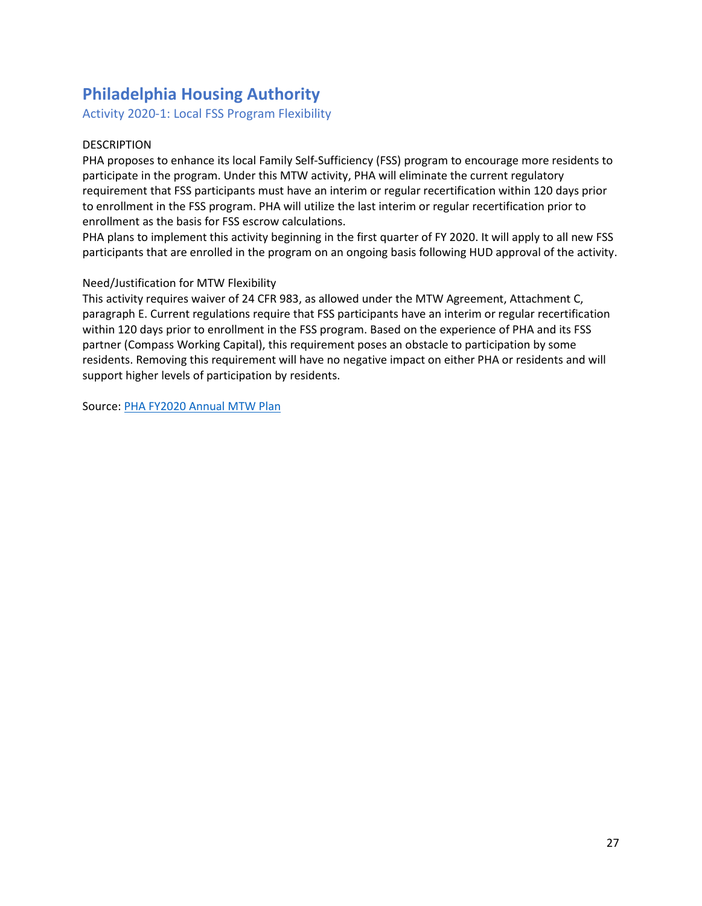# **Philadelphia Housing Authority**

Activity 2020-1: Local FSS Program Flexibility

## DESCRIPTION

PHA proposes to enhance its local Family Self-Sufficiency (FSS) program to encourage more residents to participate in the program. Under this MTW activity, PHA will eliminate the current regulatory requirement that FSS participants must have an interim or regular recertification within 120 days prior to enrollment in the FSS program. PHA will utilize the last interim or regular recertification prior to enrollment as the basis for FSS escrow calculations.

PHA plans to implement this activity beginning in the first quarter of FY 2020. It will apply to all new FSS participants that are enrolled in the program on an ongoing basis following HUD approval of the activity.

#### Need/Justification for MTW Flexibility

This activity requires waiver of 24 CFR 983, as allowed under the MTW Agreement, Attachment C, paragraph E. Current regulations require that FSS participants have an interim or regular recertification within 120 days prior to enrollment in the FSS program. Based on the experience of PHA and its FSS partner (Compass Working Capital), this requirement poses an obstacle to participation by some residents. Removing this requirement will have no negative impact on either PHA or residents and will support higher levels of participation by residents.

Source: [PHA FY2020 Annual MTW Plan](https://www.hud.gov/sites/dfiles/PIH/documents/PhiladelphiaFY20Plan.pdf)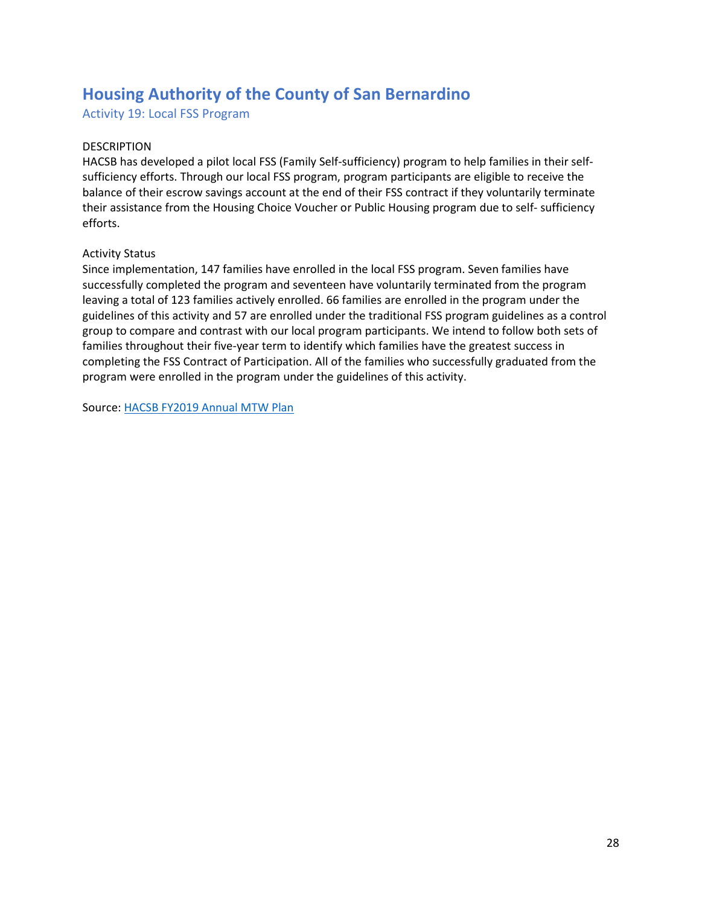# **Housing Authority of the County of San Bernardino**

Activity 19: Local FSS Program

## DESCRIPTION

HACSB has developed a pilot local FSS (Family Self-sufficiency) program to help families in their selfsufficiency efforts. Through our local FSS program, program participants are eligible to receive the balance of their escrow savings account at the end of their FSS contract if they voluntarily terminate their assistance from the Housing Choice Voucher or Public Housing program due to self- sufficiency efforts.

#### Activity Status

Since implementation, 147 families have enrolled in the local FSS program. Seven families have successfully completed the program and seventeen have voluntarily terminated from the program leaving a total of 123 families actively enrolled. 66 families are enrolled in the program under the guidelines of this activity and 57 are enrolled under the traditional FSS program guidelines as a control group to compare and contrast with our local program participants. We intend to follow both sets of families throughout their five-year term to identify which families have the greatest success in completing the FSS Contract of Participation. All of the families who successfully graduated from the program were enrolled in the program under the guidelines of this activity.

Source: [HACSB FY2019 Annual MTW Plan](https://www.hud.gov/sites/dfiles/PIH/documents/SanBernardinoFY19Plan.pdf)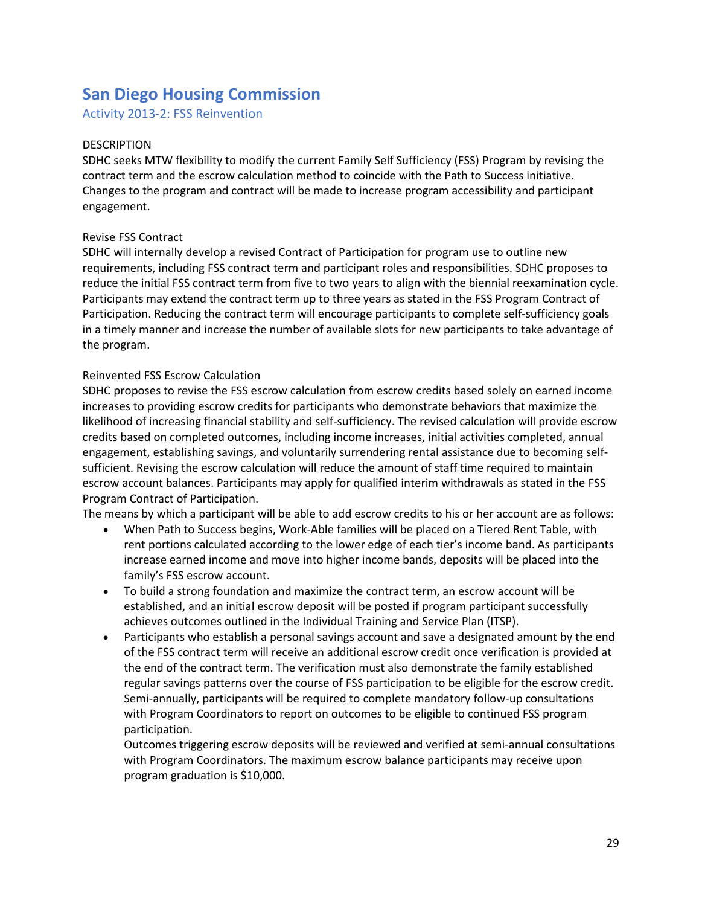# **San Diego Housing Commission**

Activity 2013-2: FSS Reinvention

### DESCRIPTION

SDHC seeks MTW flexibility to modify the current Family Self Sufficiency (FSS) Program by revising the contract term and the escrow calculation method to coincide with the Path to Success initiative. Changes to the program and contract will be made to increase program accessibility and participant engagement.

## Revise FSS Contract

SDHC will internally develop a revised Contract of Participation for program use to outline new requirements, including FSS contract term and participant roles and responsibilities. SDHC proposes to reduce the initial FSS contract term from five to two years to align with the biennial reexamination cycle. Participants may extend the contract term up to three years as stated in the FSS Program Contract of Participation. Reducing the contract term will encourage participants to complete self-sufficiency goals in a timely manner and increase the number of available slots for new participants to take advantage of the program.

#### Reinvented FSS Escrow Calculation

SDHC proposes to revise the FSS escrow calculation from escrow credits based solely on earned income increases to providing escrow credits for participants who demonstrate behaviors that maximize the likelihood of increasing financial stability and self-sufficiency. The revised calculation will provide escrow credits based on completed outcomes, including income increases, initial activities completed, annual engagement, establishing savings, and voluntarily surrendering rental assistance due to becoming selfsufficient. Revising the escrow calculation will reduce the amount of staff time required to maintain escrow account balances. Participants may apply for qualified interim withdrawals as stated in the FSS Program Contract of Participation.

The means by which a participant will be able to add escrow credits to his or her account are as follows:

- When Path to Success begins, Work-Able families will be placed on a Tiered Rent Table, with rent portions calculated according to the lower edge of each tier's income band. As participants increase earned income and move into higher income bands, deposits will be placed into the family's FSS escrow account.
- To build a strong foundation and maximize the contract term, an escrow account will be established, and an initial escrow deposit will be posted if program participant successfully achieves outcomes outlined in the Individual Training and Service Plan (ITSP).
- Participants who establish a personal savings account and save a designated amount by the end of the FSS contract term will receive an additional escrow credit once verification is provided at the end of the contract term. The verification must also demonstrate the family established regular savings patterns over the course of FSS participation to be eligible for the escrow credit. Semi-annually, participants will be required to complete mandatory follow-up consultations with Program Coordinators to report on outcomes to be eligible to continued FSS program participation.

Outcomes triggering escrow deposits will be reviewed and verified at semi-annual consultations with Program Coordinators. The maximum escrow balance participants may receive upon program graduation is \$10,000.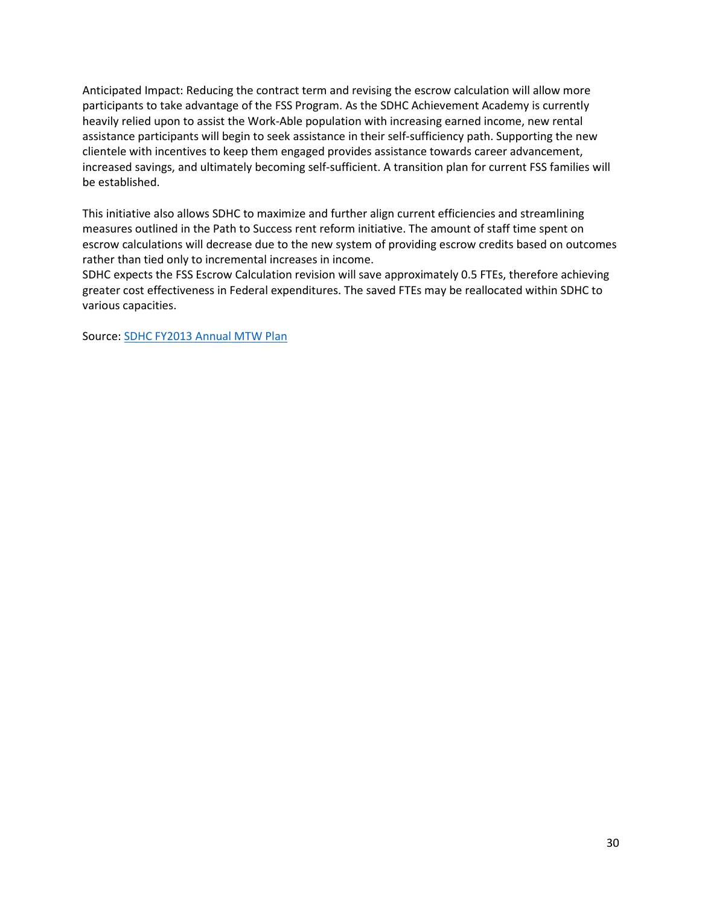Anticipated Impact: Reducing the contract term and revising the escrow calculation will allow more participants to take advantage of the FSS Program. As the SDHC Achievement Academy is currently heavily relied upon to assist the Work-Able population with increasing earned income, new rental assistance participants will begin to seek assistance in their self-sufficiency path. Supporting the new clientele with incentives to keep them engaged provides assistance towards career advancement, increased savings, and ultimately becoming self-sufficient. A transition plan for current FSS families will be established.

This initiative also allows SDHC to maximize and further align current efficiencies and streamlining measures outlined in the Path to Success rent reform initiative. The amount of staff time spent on escrow calculations will decrease due to the new system of providing escrow credits based on outcomes rather than tied only to incremental increases in income.

SDHC expects the FSS Escrow Calculation revision will save approximately 0.5 FTEs, therefore achieving greater cost effectiveness in Federal expenditures. The saved FTEs may be reallocated within SDHC to various capacities.

Source: [SDHC FY2013 Annual MTW Plan](https://www.hud.gov/sites/documents/SDHC-FY13PLAN.PDF)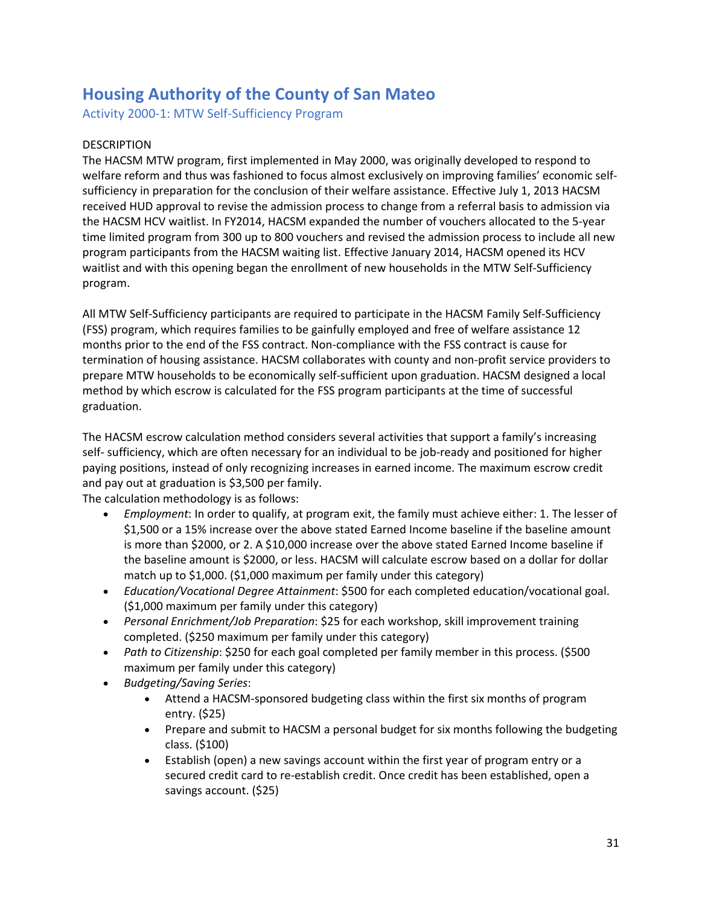# **Housing Authority of the County of San Mateo**

Activity 2000-1: MTW Self-Sufficiency Program

## DESCRIPTION

The HACSM MTW program, first implemented in May 2000, was originally developed to respond to welfare reform and thus was fashioned to focus almost exclusively on improving families' economic selfsufficiency in preparation for the conclusion of their welfare assistance. Effective July 1, 2013 HACSM received HUD approval to revise the admission process to change from a referral basis to admission via the HACSM HCV waitlist. In FY2014, HACSM expanded the number of vouchers allocated to the 5-year time limited program from 300 up to 800 vouchers and revised the admission process to include all new program participants from the HACSM waiting list. Effective January 2014, HACSM opened its HCV waitlist and with this opening began the enrollment of new households in the MTW Self-Sufficiency program.

All MTW Self-Sufficiency participants are required to participate in the HACSM Family Self-Sufficiency (FSS) program, which requires families to be gainfully employed and free of welfare assistance 12 months prior to the end of the FSS contract. Non-compliance with the FSS contract is cause for termination of housing assistance. HACSM collaborates with county and non-profit service providers to prepare MTW households to be economically self-sufficient upon graduation. HACSM designed a local method by which escrow is calculated for the FSS program participants at the time of successful graduation.

The HACSM escrow calculation method considers several activities that support a family's increasing self- sufficiency, which are often necessary for an individual to be job-ready and positioned for higher paying positions, instead of only recognizing increases in earned income. The maximum escrow credit and pay out at graduation is \$3,500 per family.

The calculation methodology is as follows:

- *Employment*: In order to qualify, at program exit, the family must achieve either: 1. The lesser of \$1,500 or a 15% increase over the above stated Earned Income baseline if the baseline amount is more than \$2000, or 2. A \$10,000 increase over the above stated Earned Income baseline if the baseline amount is \$2000, or less. HACSM will calculate escrow based on a dollar for dollar match up to \$1,000. (\$1,000 maximum per family under this category)
- *Education/Vocational Degree Attainment*: \$500 for each completed education/vocational goal. (\$1,000 maximum per family under this category)
- *Personal Enrichment/Job Preparation*: \$25 for each workshop, skill improvement training completed. (\$250 maximum per family under this category)
- *Path to Citizenship*: \$250 for each goal completed per family member in this process. (\$500 maximum per family under this category)
- *Budgeting/Saving Series*:
	- Attend a HACSM-sponsored budgeting class within the first six months of program entry. (\$25)
	- Prepare and submit to HACSM a personal budget for six months following the budgeting class. (\$100)
	- Establish (open) a new savings account within the first year of program entry or a secured credit card to re-establish credit. Once credit has been established, open a savings account. (\$25)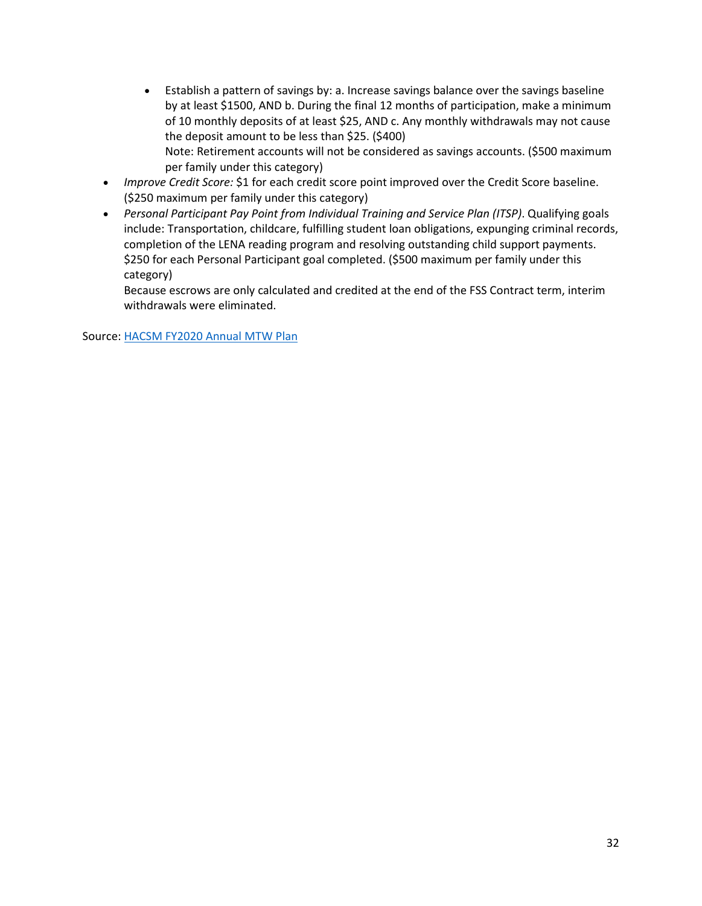- Establish a pattern of savings by: a. Increase savings balance over the savings baseline by at least \$1500, AND b. During the final 12 months of participation, make a minimum of 10 monthly deposits of at least \$25, AND c. Any monthly withdrawals may not cause the deposit amount to be less than \$25. (\$400) Note: Retirement accounts will not be considered as savings accounts. (\$500 maximum per family under this category)
- *Improve Credit Score:* \$1 for each credit score point improved over the Credit Score baseline. (\$250 maximum per family under this category)
- *Personal Participant Pay Point from Individual Training and Service Plan (ITSP)*. Qualifying goals include: Transportation, childcare, fulfilling student loan obligations, expunging criminal records, completion of the LENA reading program and resolving outstanding child support payments. \$250 for each Personal Participant goal completed. (\$500 maximum per family under this category)

Because escrows are only calculated and credited at the end of the FSS Contract term, interim withdrawals were eliminated.

Source: [HACSM FY2020 Annual MTW Plan](https://www.hud.gov/sites/dfiles/PIH/documents/SanMateoFY20Plan.PDF)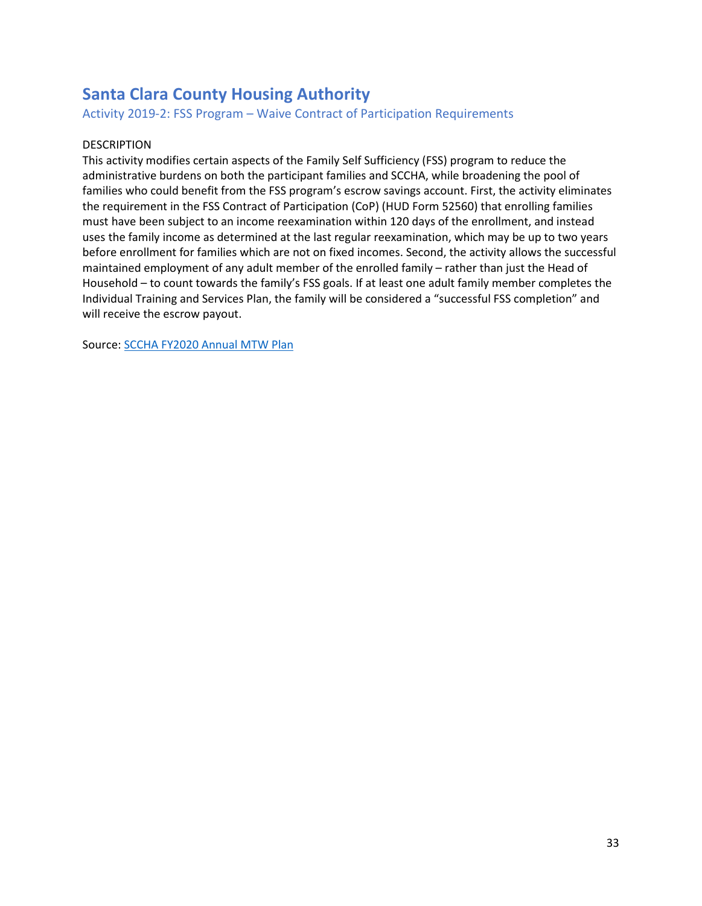# **Santa Clara County Housing Authority**

Activity 2019-2: FSS Program – Waive Contract of Participation Requirements

## DESCRIPTION

This activity modifies certain aspects of the Family Self Sufficiency (FSS) program to reduce the administrative burdens on both the participant families and SCCHA, while broadening the pool of families who could benefit from the FSS program's escrow savings account. First, the activity eliminates the requirement in the FSS Contract of Participation (CoP) (HUD Form 52560) that enrolling families must have been subject to an income reexamination within 120 days of the enrollment, and instead uses the family income as determined at the last regular reexamination, which may be up to two years before enrollment for families which are not on fixed incomes. Second, the activity allows the successful maintained employment of any adult member of the enrolled family – rather than just the Head of Household – to count towards the family's FSS goals. If at least one adult family member completes the Individual Training and Services Plan, the family will be considered a "successful FSS completion" and will receive the escrow payout.

Source: [SCCHA FY2020 Annual MTW Plan](https://www.hud.gov/sites/dfiles/PIH/documents/SantaClaraFY20Plan.pdf)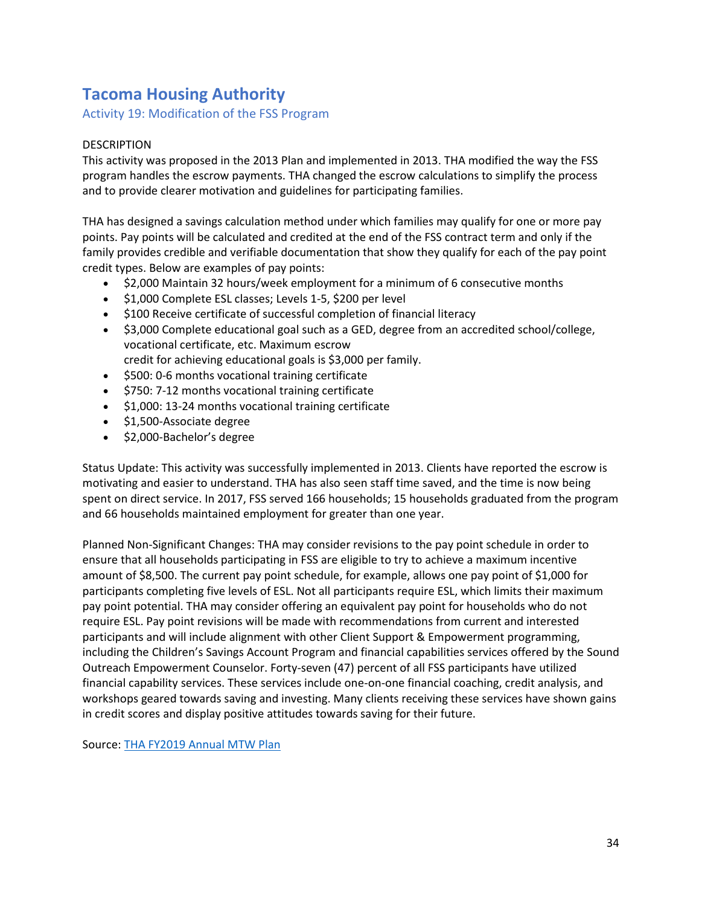# **Tacoma Housing Authority**

Activity 19: Modification of the FSS Program

## DESCRIPTION

This activity was proposed in the 2013 Plan and implemented in 2013. THA modified the way the FSS program handles the escrow payments. THA changed the escrow calculations to simplify the process and to provide clearer motivation and guidelines for participating families.

THA has designed a savings calculation method under which families may qualify for one or more pay points. Pay points will be calculated and credited at the end of the FSS contract term and only if the family provides credible and verifiable documentation that show they qualify for each of the pay point credit types. Below are examples of pay points:

- \$2,000 Maintain 32 hours/week employment for a minimum of 6 consecutive months
- $\bullet$  \$1,000 Complete ESL classes; Levels 1-5, \$200 per level
- \$100 Receive certificate of successful completion of financial literacy
- \$3,000 Complete educational goal such as a GED, degree from an accredited school/college, vocational certificate, etc. Maximum escrow
	- credit for achieving educational goals is \$3,000 per family.
- $\bullet$  \$500: 0-6 months vocational training certificate
- $\bullet$  \$750: 7-12 months vocational training certificate
- $\bullet$  \$1,000: 13-24 months vocational training certificate
- $\bullet$  \$1,500-Associate degree
- $\bullet$  \$2,000-Bachelor's degree

Status Update: This activity was successfully implemented in 2013. Clients have reported the escrow is motivating and easier to understand. THA has also seen staff time saved, and the time is now being spent on direct service. In 2017, FSS served 166 households; 15 households graduated from the program and 66 households maintained employment for greater than one year.

Planned Non-Significant Changes: THA may consider revisions to the pay point schedule in order to ensure that all households participating in FSS are eligible to try to achieve a maximum incentive amount of \$8,500. The current pay point schedule, for example, allows one pay point of \$1,000 for participants completing five levels of ESL. Not all participants require ESL, which limits their maximum pay point potential. THA may consider offering an equivalent pay point for households who do not require ESL. Pay point revisions will be made with recommendations from current and interested participants and will include alignment with other Client Support & Empowerment programming, including the Children's Savings Account Program and financial capabilities services offered by the Sound Outreach Empowerment Counselor. Forty-seven (47) percent of all FSS participants have utilized financial capability services. These services include one-on-one financial coaching, credit analysis, and workshops geared towards saving and investing. Many clients receiving these services have shown gains in credit scores and display positive attitudes towards saving for their future.

Source: [THA FY2019 Annual MTW Plan](https://www.hud.gov/sites/dfiles/PIH/documents/TacomaFY19Plan.pdf)